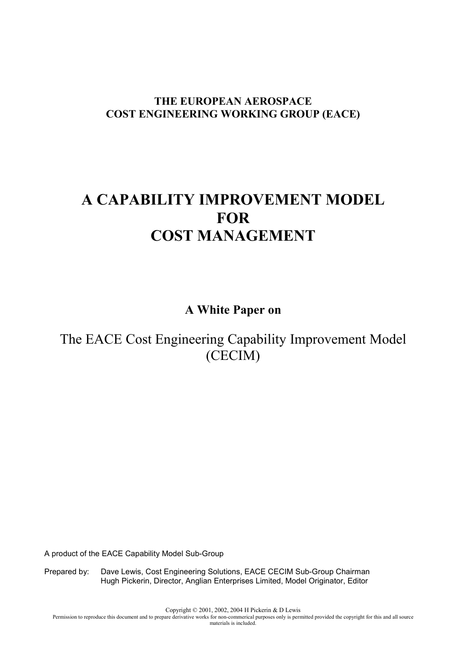# **THE EUROPEAN AEROSPACE COST ENGINEERING WORKING GROUP (EACE)**

# **A CAPABILITY IMPROVEMENT MODEL FOR COST MANAGEMENT**

**A White Paper on** 

# The EACE Cost Engineering Capability Improvement Model (CECIM)

A product of the EACE Capability Model Sub-Group

Prepared by: Dave Lewis, Cost Engineering Solutions, EACE CECIM Sub-Group Chairman Hugh Pickerin, Director, Anglian Enterprises Limited, Model Originator, Editor

Copyright © 2001, 2002, 2004 H Pickerin & D Lewis

Permission to reproduce this document and to prepare derivative works for non-commerical purposes only is permitted provided the copyright for this and all source materials is included.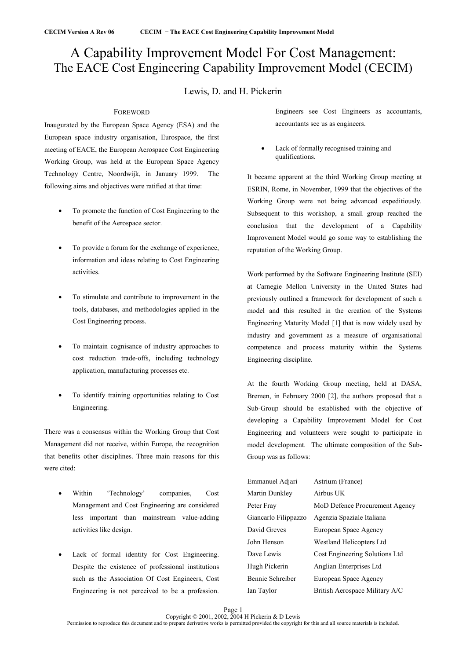# A Capability Improvement Model For Cost Management: The EACE Cost Engineering Capability Improvement Model (CECIM)

# Lewis, D. and H. Pickerin

# FOREWORD

Inaugurated by the European Space Agency (ESA) and the European space industry organisation, Eurospace, the first meeting of EACE, the European Aerospace Cost Engineering Working Group, was held at the European Space Agency Technology Centre, Noordwijk, in January 1999. The following aims and objectives were ratified at that time:

- To promote the function of Cost Engineering to the benefit of the Aerospace sector.
- To provide a forum for the exchange of experience, information and ideas relating to Cost Engineering activities.
- To stimulate and contribute to improvement in the tools, databases, and methodologies applied in the Cost Engineering process.
- To maintain cognisance of industry approaches to cost reduction trade-offs, including technology application, manufacturing processes etc.
- To identify training opportunities relating to Cost Engineering.

There was a consensus within the Working Group that Cost Management did not receive, within Europe, the recognition that benefits other disciplines. Three main reasons for this were cited:

- Within 'Technology' companies, Cost Management and Cost Engineering are considered less important than mainstream value-adding activities like design.
- Lack of formal identity for Cost Engineering. Despite the existence of professional institutions such as the Association Of Cost Engineers, Cost Engineering is not perceived to be a profession.

Engineers see Cost Engineers as accountants, accountants see us as engineers.

Lack of formally recognised training and qualifications.

It became apparent at the third Working Group meeting at ESRIN, Rome, in November, 1999 that the objectives of the Working Group were not being advanced expeditiously. Subsequent to this workshop, a small group reached the conclusion that the development of a Capability Improvement Model would go some way to establishing the reputation of the Working Group.

Work performed by the Software Engineering Institute (SEI) at Carnegie Mellon University in the United States had previously outlined a framework for development of such a model and this resulted in the creation of the Systems Engineering Maturity Model [1] that is now widely used by industry and government as a measure of organisational competence and process maturity within the Systems Engineering discipline.

At the fourth Working Group meeting, held at DASA, Bremen, in February 2000 [2], the authors proposed that a Sub-Group should be established with the objective of developing a Capability Improvement Model for Cost Engineering and volunteers were sought to participate in model development. The ultimate composition of the Sub-Group was as follows:

| Emmanuel Adjari      | Astrium (France)               |
|----------------------|--------------------------------|
| Martin Dunkley       | Airbus UK                      |
| Peter Fray           | MoD Defence Procurement Agency |
| Giancarlo Filippazzo | Agenzia Spaziale Italiana      |
| David Greves         | European Space Agency          |
| John Henson          | Westland Helicopters Ltd       |
| Dave Lewis           | Cost Engineering Solutions Ltd |
| Hugh Pickerin        | Anglian Enterprises Ltd        |
| Bennie Schreiber     | European Space Agency          |
| Ian Taylor           | British Aerospace Military A/C |
|                      |                                |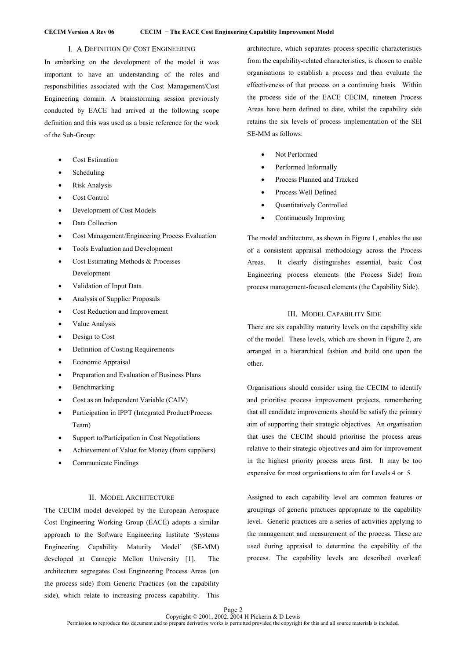# I. A DEFINITION OF COST ENGINEERING

In embarking on the development of the model it was important to have an understanding of the roles and responsibilities associated with the Cost Management/Cost Engineering domain. A brainstorming session previously conducted by EACE had arrived at the following scope definition and this was used as a basic reference for the work of the Sub-Group:

- Cost Estimation
- **Scheduling**
- Risk Analysis
- Cost Control
- Development of Cost Models
- Data Collection
- Cost Management/Engineering Process Evaluation
- Tools Evaluation and Development
- Cost Estimating Methods & Processes Development
- Validation of Input Data
- Analysis of Supplier Proposals
- Cost Reduction and Improvement
- Value Analysis
- Design to Cost
- Definition of Costing Requirements
- Economic Appraisal
- Preparation and Evaluation of Business Plans
- **Benchmarking**
- Cost as an Independent Variable (CAIV)
- Participation in IPPT (Integrated Product/Process Team)
- Support to/Participation in Cost Negotiations
- Achievement of Value for Money (from suppliers)
- Communicate Findings

# II. MODEL ARCHITECTURE

The CECIM model developed by the European Aerospace Cost Engineering Working Group (EACE) adopts a similar approach to the Software Engineering Institute 'Systems Engineering Capability Maturity Model' (SE-MM) developed at Carnegie Mellon University [1]. The architecture segregates Cost Engineering Process Areas (on the process side) from Generic Practices (on the capability side), which relate to increasing process capability. This architecture, which separates process-specific characteristics from the capability-related characteristics, is chosen to enable organisations to establish a process and then evaluate the effectiveness of that process on a continuing basis. Within the process side of the EACE CECIM, nineteen Process Areas have been defined to date, whilst the capability side retains the six levels of process implementation of the SEI SE-MM as follows:

- Not Performed
- Performed Informally
- Process Planned and Tracked
- Process Well Defined
- Quantitatively Controlled
- Continuously Improving

The model architecture, as shown in Figure 1, enables the use of a consistent appraisal methodology across the Process Areas. It clearly distinguishes essential, basic Cost Engineering process elements (the Process Side) from process management-focused elements (the Capability Side).

### III. MODEL CAPABILITY SIDE

There are six capability maturity levels on the capability side of the model. These levels, which are shown in Figure 2, are arranged in a hierarchical fashion and build one upon the other.

Organisations should consider using the CECIM to identify and prioritise process improvement projects, remembering that all candidate improvements should be satisfy the primary aim of supporting their strategic objectives. An organisation that uses the CECIM should prioritise the process areas relative to their strategic objectives and aim for improvement in the highest priority process areas first. It may be too expensive for most organisations to aim for Levels 4 or 5.

Assigned to each capability level are common features or groupings of generic practices appropriate to the capability level. Generic practices are a series of activities applying to the management and measurement of the process. These are used during appraisal to determine the capability of the process. The capability levels are described overleaf: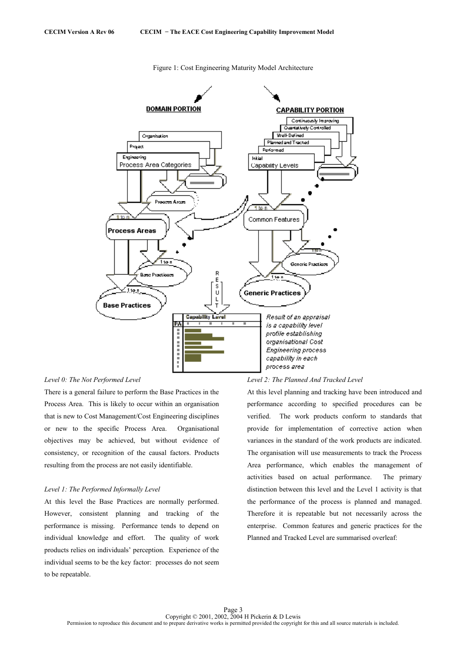

Figure 1: Cost Engineering Maturity Model Architecture

### *Level 0: The Not Performed Level*

There is a general failure to perform the Base Practices in the Process Area. This is likely to occur within an organisation that is new to Cost Management/Cost Engineering disciplines or new to the specific Process Area. Organisational objectives may be achieved, but without evidence of consistency, or recognition of the causal factors. Products resulting from the process are not easily identifiable.

# *Level 1: The Performed Informally Level*

At this level the Base Practices are normally performed. However, consistent planning and tracking of the performance is missing. Performance tends to depend on individual knowledge and effort. The quality of work products relies on individuals' perception. Experience of the individual seems to be the key factor: processes do not seem to be repeatable.

#### *Level 2: The Planned And Tracked Level*

At this level planning and tracking have been introduced and performance according to specified procedures can be verified. The work products conform to standards that provide for implementation of corrective action when variances in the standard of the work products are indicated. The organisation will use measurements to track the Process Area performance, which enables the management of activities based on actual performance. The primary distinction between this level and the Level 1 activity is that the performance of the process is planned and managed. Therefore it is repeatable but not necessarily across the enterprise. Common features and generic practices for the Planned and Tracked Level are summarised overleaf: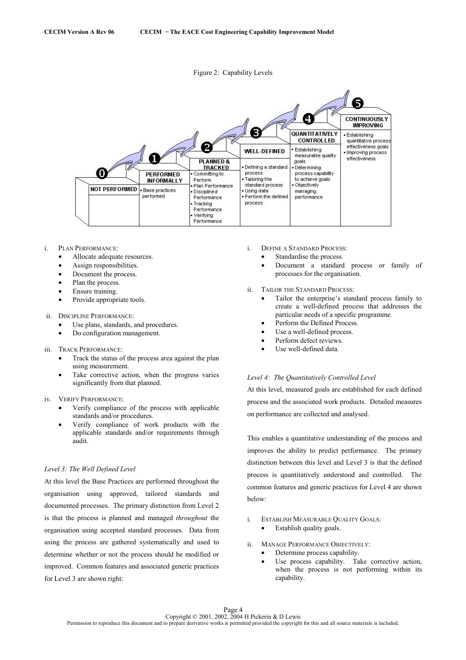



- i. PLAN PERFORMANCE:
	- Allocate adequate resources.
	- Assign responsibilities.
	- Document the process.
	- Plan the process.
	- Ensure training.
	- Provide appropriate tools.
- ii. DISCIPLINE PERFORMANCE:
	- Use plans, standards, and procedures.
	- Do configuration management.
- iii. TRACK PERFORMANCE:
	- Track the status of the process area against the plan using measurement.
	- Take corrective action, when the progress varies significantly from that planned.

iv. VERIFY PERFORMANCE:

- Verify compliance of the process with applicable standards and/or procedures.
- Verify compliance of work products with the applicable standards and/or requirements through audit.

# *Level 3: The Well Defined Level*

At this level the Base Practices are performed throughout the organisation using approved, tailored standards and documented processes. The primary distinction from Level 2 is that the process is planned and managed *throughout* the organisation using accepted standard processes. Data from using the process are gathered systematically and used to determine whether or not the process should be modified or improved. Common features and associated generic practices for Level 3 are shown right:

- i. DEFINE A STANDARD PROCESS:
	- Standardise the process.
	- Document a standard process or family of processes for the organisation.
- ii. TAILOR THE STANDARD PROCESS:
	- Tailor the enterprise's standard process family to create a well-defined process that addresses the particular needs of a specific programme.
	- Perform the Defined Process.
	- Use a well-defined process.
	- Perform defect reviews.
	- Use well-defined data.

# *Level 4: The Quantitatively Controlled Level*

At this level, measured goals are established for each defined process and the associated work products. Detailed measures on performance are collected and analysed.

This enables a quantitative understanding of the process and improves the ability to predict performance. The primary distinction between this level and Level 3 is that the defined process is quantitatively understood and controlled. The common features and generic practices for Level 4 are shown below:

- i. ESTABLISH MEASURABLE QUALITY GOALS: Establish quality goals.
- ii. MANAGE PERFORMANCE OBJECTIVELY:
	- Determine process capability.
	- Use process capability. Take corrective action, when the process is not performing within its capability.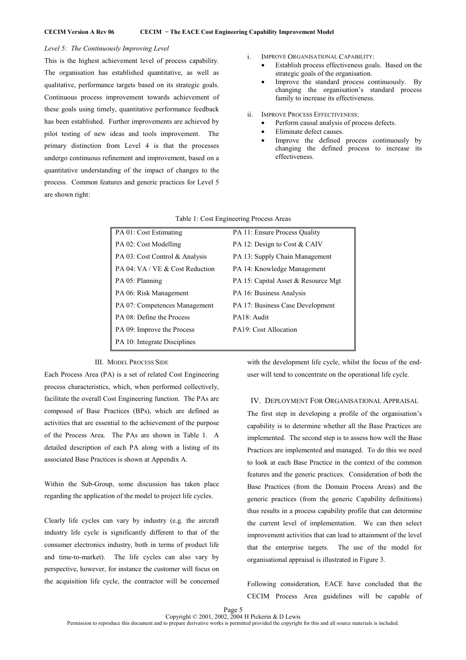# *Level 5: The Continuously Improving Level*

This is the highest achievement level of process capability. The organisation has established quantitative, as well as qualitative, performance targets based on its strategic goals. Continuous process improvement towards achievement of these goals using timely, quantitative performance feedback has been established. Further improvements are achieved by pilot testing of new ideas and tools improvement. The primary distinction from Level 4 is that the processes undergo continuous refinement and improvement, based on a quantitative understanding of the impact of changes to the process. Common features and generic practices for Level 5 are shown right:

- i. IMPROVE ORGANISATIONAL CAPABILITY:
	- Establish process effectiveness goals. Based on the strategic goals of the organisation.
	- Improve the standard process continuously. By changing the organisation's standard process family to increase its effectiveness.
- ii. IMPROVE PROCESS EFFECTIVENESS:
	- Perform causal analysis of process defects.
	- Eliminate defect causes.
	- Improve the defined process continuously by changing the defined process to increase its effectiveness.

| PA 01: Cost Estimating          | PA 11: Ensure Process Quality       |
|---------------------------------|-------------------------------------|
| PA 02: Cost Modelling           | PA 12: Design to Cost & CAIV        |
| PA 03: Cost Control & Analysis  | PA 13: Supply Chain Management      |
| PA 04: VA / VE & Cost Reduction | PA 14: Knowledge Management         |
| PA 05: Planning                 | PA 15: Capital Asset & Resource Mgt |
| PA 06: Risk Management          | PA 16: Business Analysis            |
| PA 07: Competences Management   | PA 17: Business Case Development    |
| PA 08: Define the Process       | PA18: Audit                         |
| PA 09: Improve the Process      | PA19: Cost Allocation               |
| PA 10: Integrate Disciplines    |                                     |

Table 1: Cost Engineering Process Areas

#### III. MODEL PROCESS SIDE

Each Process Area (PA) is a set of related Cost Engineering process characteristics, which, when performed collectively, facilitate the overall Cost Engineering function. The PAs are composed of Base Practices (BPs), which are defined as activities that are essential to the achievement of the purpose of the Process Area. The PAs are shown in Table 1. A detailed description of each PA along with a listing of its associated Base Practices is shown at Appendix A.

Within the Sub-Group, some discussion has taken place regarding the application of the model to project life cycles.

Clearly life cycles can vary by industry (e.g. the aircraft industry life cycle is significantly different to that of the consumer electronics industry, both in terms of product life and time-to-market). The life cycles can also vary by perspective, however, for instance the customer will focus on the acquisition life cycle, the contractor will be concerned with the development life cycle, whilst the focus of the enduser will tend to concentrate on the operational life cycle.

# IV. DEPLOYMENT FOR ORGANISATIONAL APPRAISAL

The first step in developing a profile of the organisation's capability is to determine whether all the Base Practices are implemented. The second step is to assess how well the Base Practices are implemented and managed. To do this we need to look at each Base Practice in the context of the common features and the generic practices. Consideration of both the Base Practices (from the Domain Process Areas) and the generic practices (from the generic Capability definitions) thus results in a process capability profile that can determine the current level of implementation. We can then select improvement activities that can lead to attainment of the level that the enterprise targets. The use of the model for organisational appraisal is illustrated in Figure 3.

Following consideration, EACE have concluded that the CECIM Process Area guidelines will be capable of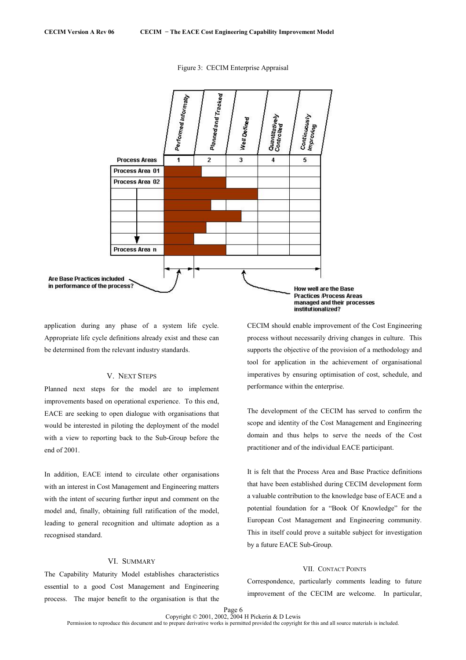

Figure 3: CECIM Enterprise Appraisal

application during any phase of a system life cycle. Appropriate life cycle definitions already exist and these can be determined from the relevant industry standards.

# V. NEXT STEPS

Planned next steps for the model are to implement improvements based on operational experience. To this end, EACE are seeking to open dialogue with organisations that would be interested in piloting the deployment of the model with a view to reporting back to the Sub-Group before the end of 2001.

In addition, EACE intend to circulate other organisations with an interest in Cost Management and Engineering matters with the intent of securing further input and comment on the model and, finally, obtaining full ratification of the model, leading to general recognition and ultimate adoption as a recognised standard.

# VI. SUMMARY

The Capability Maturity Model establishes characteristics essential to a good Cost Management and Engineering process. The major benefit to the organisation is that the CECIM should enable improvement of the Cost Engineering process without necessarily driving changes in culture. This supports the objective of the provision of a methodology and tool for application in the achievement of organisational imperatives by ensuring optimisation of cost, schedule, and performance within the enterprise.

The development of the CECIM has served to confirm the scope and identity of the Cost Management and Engineering domain and thus helps to serve the needs of the Cost practitioner and of the individual EACE participant.

It is felt that the Process Area and Base Practice definitions that have been established during CECIM development form a valuable contribution to the knowledge base of EACE and a potential foundation for a "Book Of Knowledge" for the European Cost Management and Engineering community. This in itself could prove a suitable subject for investigation by a future EACE Sub-Group.

# VII. CONTACT POINTS

Correspondence, particularly comments leading to future improvement of the CECIM are welcome. In particular,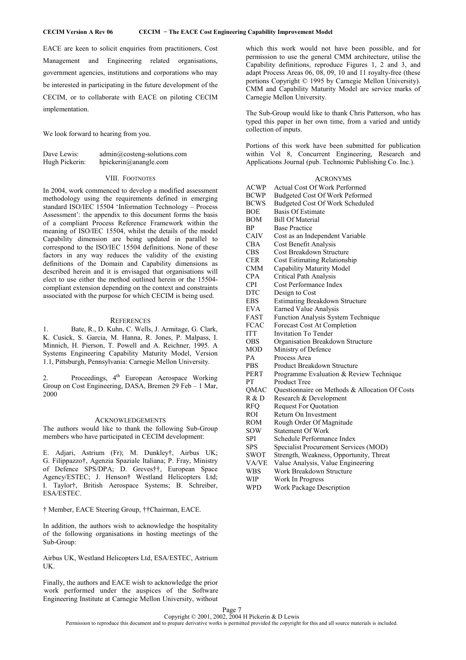EACE are keen to solicit enquiries from practitioners, Cost Management and Engineering related organisations, government agencies, institutions and corporations who may be interested in participating in the future development of the CECIM, or to collaborate with EACE on piloting CECIM implementation.

We look forward to hearing from you.

| Dave Lewis:    | $\text{admin}(a) \text{costeng-solutions.com}$ |
|----------------|------------------------------------------------|
| Hugh Pickerin: | hpickerin@anangle.com                          |

### VIII. FOOTNOTES

In 2004, work commenced to develop a modified assessment methodology using the requirements defined in emerging standard ISO/IEC 15504 'Information Technology – Process Assessment': the appendix to this document forms the basis of a compliant Process Reference Framework within the meaning of ISO/IEC 15504, whilst the details of the model Capability dimension are being updated in parallel to correspond to the ISO/IEC 15504 definitions. None of these factors in any way reduces the validity of the existing definitions of the Domain and Capability dimensions as described herein and it is envisaged that organisations will elect to use either the method outlined herein or the 15504 compliant extension depending on the context and constraints associated with the purpose for which CECIM is being used.

### **REFERENCES**

1. Bate, R., D. Kuhn, C. Wells, J. Armitage, G. Clark, K. Cusick, S. Garcia, M. Hanna, R. Jones, P. Malpass, I. Minnich, H. Pierson, T. Powell and A. Reichner, 1995. A Systems Engineering Capability Maturity Model, Version 1.1, Pittsburgh, Pennsylvania: Carnegie Mellon University.

Proceedings, 4<sup>th</sup> European Aerospace Working Group on Cost Engineering, DASA, Bremen 29 Feb – 1 Mar, 2000

### ACKNOWLEDGEMENTS

The authors would like to thank the following Sub-Group members who have participated in CECIM development:

E. Adjari, Astrium (Fr); M. Dunkley†, Airbus UK; G. Filippazzo†, Agenzia Spaziale Italiana; P. Fray, Ministry of Defence SPS/DPA; D. Greves††, European Space Agency/ESTEC; J. Henson† Westland Helicopters Ltd; I. Taylor†, British Aerospace Systems; B. Schreiber, ESA/ESTEC.

† Member, EACE Steering Group, ††Chairman, EACE.

In addition, the authors wish to acknowledge the hospitality of the following organisations in hosting meetings of the Sub-Group:

Airbus UK, Westland Helicopters Ltd, ESA/ESTEC, Astrium UK.

Finally, the authors and EACE wish to acknowledge the prior work performed under the auspices of the Software Engineering Institute at Carnegie Mellon University, without which this work would not have been possible, and for permission to use the general CMM architecture, utilise the Capability definitions, reproduce Figures 1, 2 and 3, and adapt Process Areas 06, 08, 09, 10 and 11 royalty-free (these portions Copyright © 1995 by Carnegie Mellon University). CMM and Capability Maturity Model are service marks of Carnegie Mellon University.

The Sub-Group would like to thank Chris Patterson, who has typed this paper in her own time, from a varied and untidy collection of inputs.

Portions of this work have been submitted for publication within Vol 8, Concurrent Engineering, Research and Applications Journal (pub. Technomic Publishing Co. Inc.).

# ACRONYMS

| <b>ACWP</b> | <b>Actual Cost Of Work Performed</b>           |
|-------------|------------------------------------------------|
| BCWP        | Budgeted Cost Of Work Peformed                 |
| BCWS        | Budgeted Cost Of Work Scheduled                |
| BOE         | <b>Basis Of Estimate</b>                       |
| BOM         | <b>Bill Of Material</b>                        |
| ВP          | <b>Base Practice</b>                           |
| CAIV        | Cost as an Independent Variable                |
| CBA         | Cost Benefit Analysis                          |
| CBS         | Cost Breakdown Structure                       |
| <b>CER</b>  | <b>Cost Estimating Relationship</b>            |
| <b>CMM</b>  | Capability Maturity Model                      |
| <b>CPA</b>  | Critical Path Analysis                         |
| <b>CPI</b>  | Cost Performance Index                         |
| DTC         | Design to Cost                                 |
| EBS         | <b>Estimating Breakdown Structure</b>          |
| EVA         | Earned Value Analysis                          |
| FAST        | Function Analysis System Technique             |
| <b>FCAC</b> | Forecast Cost At Completion                    |
| ITT         | <b>Invitation To Tender</b>                    |
| OBS         | Organisation Breakdown Structure               |
| MOD         | Ministry of Defence                            |
| PА          | Process Area                                   |
| PBS         | Product Breakdown Structure                    |
| PERT        | Programme Evaluation & Review Technique        |
| PТ          | <b>Product Tree</b>                            |
| QMAC        | Questionnaire on Methods & Allocation Of Costs |
| R & D       | Research & Development                         |
| RFQ         | <b>Request For Quotation</b>                   |
| ROI         | Return On Investment                           |
| ROM         | Rough Order Of Magnitude                       |
| sow         | Statement Of Work                              |
| SPI         | Schedule Performance Index                     |
| SPS         | Specialist Procurement Services (MOD)          |
| SWOT        | Strength, Weakness, Opportunity, Threat        |
| VA/VE       | Value Analysis, Value Engineering              |
| WBS         | Work Breakdown Structure                       |
| WIP         | Work In Progress                               |

WPD Work Package Description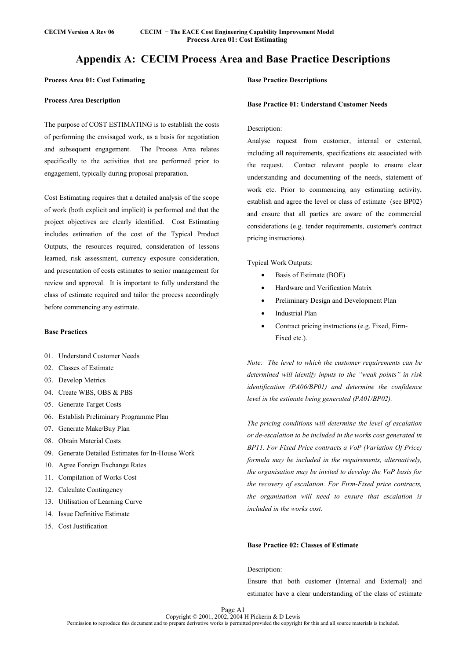# **Appendix A: CECIM Process Area and Base Practice Descriptions**

# **Process Area 01: Cost Estimating**

### **Process Area Description**

The purpose of COST ESTIMATING is to establish the costs of performing the envisaged work, as a basis for negotiation and subsequent engagement. The Process Area relates specifically to the activities that are performed prior to engagement, typically during proposal preparation.

Cost Estimating requires that a detailed analysis of the scope of work (both explicit and implicit) is performed and that the project objectives are clearly identified. Cost Estimating includes estimation of the cost of the Typical Product Outputs, the resources required, consideration of lessons learned, risk assessment, currency exposure consideration, and presentation of costs estimates to senior management for review and approval. It is important to fully understand the class of estimate required and tailor the process accordingly before commencing any estimate.

# **Base Practices**

- 01. Understand Customer Needs
- 02. Classes of Estimate
- 03. Develop Metrics
- 04. Create WBS, OBS & PBS
- 05. Generate Target Costs
- 06. Establish Preliminary Programme Plan
- 07. Generate Make/Buy Plan
- 08. Obtain Material Costs
- 09. Generate Detailed Estimates for In-House Work
- 10. Agree Foreign Exchange Rates
- 11. Compilation of Works Cost
- 12. Calculate Contingency
- 13. Utilisation of Learning Curve
- 14. Issue Definitive Estimate
- 15. Cost Justification

# **Base Practice Descriptions**

### **Base Practice 01: Understand Customer Needs**

# Description:

Analyse request from customer, internal or external, including all requirements, specifications etc associated with the request. Contact relevant people to ensure clear understanding and documenting of the needs, statement of work etc. Prior to commencing any estimating activity, establish and agree the level or class of estimate (see BP02) and ensure that all parties are aware of the commercial considerations (e.g. tender requirements, customer's contract pricing instructions).

Typical Work Outputs:

- Basis of Estimate (BOE)
- Hardware and Verification Matrix
- Preliminary Design and Development Plan
- Industrial Plan
- Contract pricing instructions (e.g. Fixed, Firm-Fixed etc.).

*Note: The level to which the customer requirements can be determined will identify inputs to the "weak points" in risk identification (PA06/BP01) and determine the confidence level in the estimate being generated (PA01/BP02).* 

*The pricing conditions will determine the level of escalation or de-escalation to be included in the works cost generated in BP11. For Fixed Price contracts a VoP (Variation Of Price) formula may be included in the requirements, alternatively, the organisation may be invited to develop the VoP basis for the recovery of escalation. For Firm-Fixed price contracts, the organisation will need to ensure that escalation is included in the works cost.* 

# **Base Practice 02: Classes of Estimate**

### Description:

Ensure that both customer (Internal and External) and estimator have a clear understanding of the class of estimate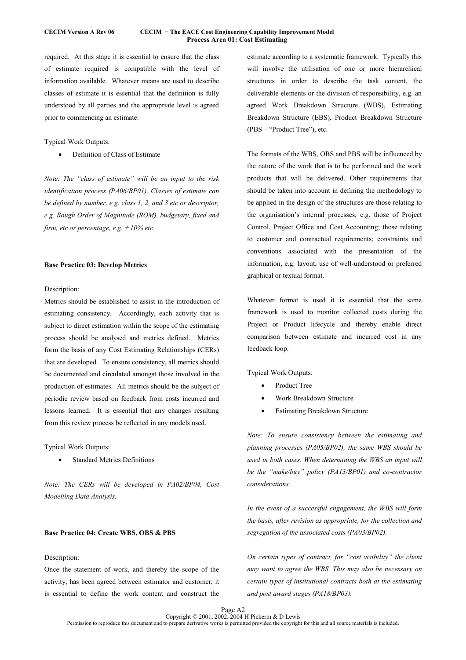### **CECIM Version A Rev 06 CECIM − The EACE Cost Engineering Capability Improvement Model Process Area 01: Cost Estimating**

required. At this stage it is essential to ensure that the class of estimate required is compatible with the level of information available. Whatever means are used to describe classes of estimate it is essential that the definition is fully understood by all parties and the appropriate level is agreed prior to commencing an estimate.

### Typical Work Outputs:

• Definition of Class of Estimate

*Note: The "class of estimate" will be an input to the risk identification process (PA06/BP01). Classes of estimate can be defined by number, e.g. class 1, 2, and 3 etc or descriptor, e.g. Rough Order of Magnitude (ROM), budgetary, fixed and firm, etc or percentage, e.g.* ± *10% etc.* 

### **Base Practice 03: Develop Metrics**

### Description:

Metrics should be established to assist in the introduction of estimating consistency. Accordingly, each activity that is subject to direct estimation within the scope of the estimating process should be analysed and metrics defined. Metrics form the basis of any Cost Estimating Relationships (CERs) that are developed. To ensure consistency, all metrics should be documented and circulated amongst those involved in the production of estimates. All metrics should be the subject of periodic review based on feedback from costs incurred and lessons learned. It is essential that any changes resulting from this review process be reflected in any models used.

Typical Work Outputs:

**Standard Metrics Definitions** 

*Note: The CERs will be developed in PA02/BP04, Cost Modelling Data Analysis.* 

# **Base Practice 04: Create WBS, OBS & PBS**

# Description:

Once the statement of work, and thereby the scope of the activity, has been agreed between estimator and customer, it is essential to define the work content and construct the estimate according to a systematic framework. Typically this will involve the utilisation of one or more hierarchical structures in order to describe the task content, the deliverable elements or the division of responsibility, e.g. an agreed Work Breakdown Structure (WBS), Estimating Breakdown Structure (EBS), Product Breakdown Structure (PBS – "Product Tree"), etc.

The formats of the WBS, OBS and PBS will be influenced by the nature of the work that is to be performed and the work products that will be delivered. Other requirements that should be taken into account in defining the methodology to be applied in the design of the structures are those relating to the organisation's internal processes, e.g. those of Project Control, Project Office and Cost Accounting; those relating to customer and contractual requirements; constraints and conventions associated with the presentation of the information, e.g. layout, use of well-understood or preferred graphical or textual format.

Whatever format is used it is essential that the same framework is used to monitor collected costs during the Project or Product lifecycle and thereby enable direct comparison between estimate and incurred cost in any feedback loop.

Typical Work Outputs:

- Product Tree
- Work Breakdown Structure
- **Estimating Breakdown Structure**

*Note: To ensure consistency between the estimating and planning processes (PA05/BP02), the same WBS should be used in both cases. When determining the WBS an input will be the "make/buy" policy (PA13/BP01) and co-contractor considerations.* 

*In the event of a successful engagement, the WBS will form the basis, after revision as appropriate, for the collection and segregation of the associated costs (PA03/BP02).* 

*On certain types of contract, for "cost visibility" the client may want to agree the WBS. This may also be necessary on certain types of institutional contracts both at the estimating and post award stages (PA18/BP03).*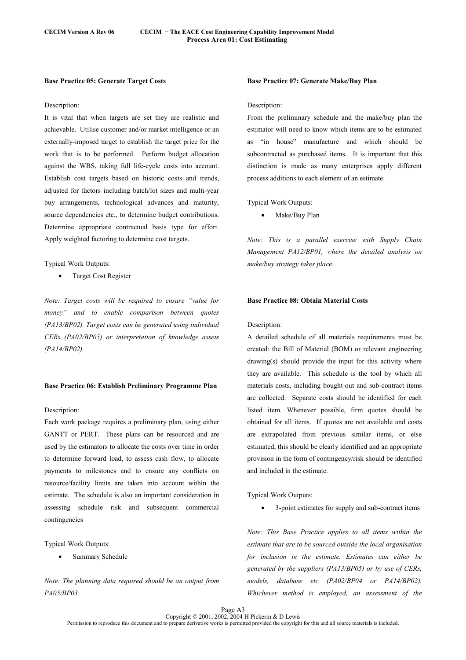### **Base Practice 05: Generate Target Costs**

#### Description:

It is vital that when targets are set they are realistic and achievable. Utilise customer and/or market intelligence or an externally-imposed target to establish the target price for the work that is to be performed. Perform budget allocation against the WBS, taking full life-cycle costs into account. Establish cost targets based on historic costs and trends, adjusted for factors including batch/lot sizes and multi-year buy arrangements, technological advances and maturity, source dependencies etc., to determine budget contributions. Determine appropriate contractual basis type for effort. Apply weighted factoring to determine cost targets.

### Typical Work Outputs:

• Target Cost Register

*Note: Target costs will be required to ensure "value for money" and to enable comparison between quotes (PA13/BP02). Target costs can be generated using individual CERs (PA02/BP05) or interpretation of knowledge assets (PA14/BP02).* 

### **Base Practice 06: Establish Preliminary Programme Plan**

### Description:

Each work package requires a preliminary plan, using either GANTT or PERT. These plans can be resourced and are used by the estimators to allocate the costs over time in order to determine forward load, to assess cash flow, to allocate payments to milestones and to ensure any conflicts on resource/facility limits are taken into account within the estimate. The schedule is also an important consideration in assessing schedule risk and subsequent commercial contingencies

Typical Work Outputs:

Summary Schedule

*Note: The planning data required should be an output from PA05/BP03.* 

### **Base Practice 07: Generate Make/Buy Plan**

#### Description:

From the preliminary schedule and the make/buy plan the estimator will need to know which items are to be estimated as "in house" manufacture and which should be subcontracted as purchased items. It is important that this distinction is made as many enterprises apply different process additions to each element of an estimate.

Typical Work Outputs:

• Make/Buy Plan

*Note: This is a parallel exercise with Supply Chain Management PA12/BP01, where the detailed analysis on make/buy strategy takes place.* 

### **Base Practice 08: Obtain Material Costs**

#### Description:

A detailed schedule of all materials requirements must be created: the Bill of Material (BOM) or relevant engineering drawing(s) should provide the input for this activity where they are available. This schedule is the tool by which all materials costs, including bought-out and sub-contract items are collected. Separate costs should be identified for each listed item. Whenever possible, firm quotes should be obtained for all items. If quotes are not available and costs are extrapolated from previous similar items, or else estimated, this should be clearly identified and an appropriate provision in the form of contingency/risk should be identified and included in the estimate.

Typical Work Outputs:

• 3-point estimates for supply and sub-contract items

*Note: This Base Practice applies to all items within the estimate that are to be sourced outside the local organisation for inclusion in the estimate. Estimates can either be generated by the suppliers (PA13/BP05) or by use of CERs, models, database etc (PA02/BP04 or PA14/BP02). Whichever method is employed, an assessment of the*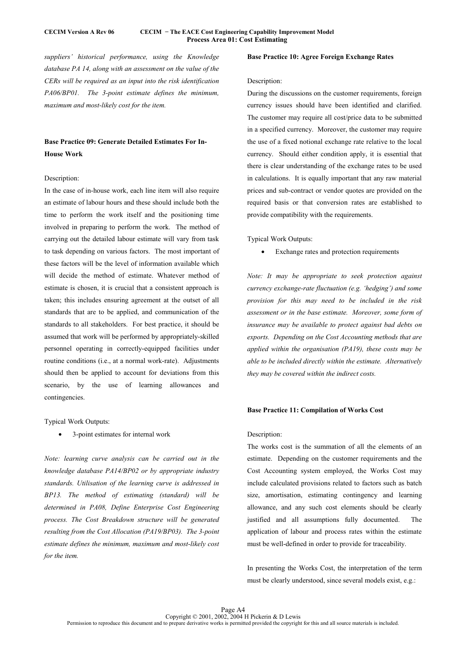*suppliers' historical performance, using the Knowledge database PA 14, along with an assessment on the value of the CERs will be required as an input into the risk identification PA06/BP01. The 3-point estimate defines the minimum, maximum and most-likely cost for the item.* 

# **Base Practice 09: Generate Detailed Estimates For In-House Work**

### Description:

In the case of in-house work, each line item will also require an estimate of labour hours and these should include both the time to perform the work itself and the positioning time involved in preparing to perform the work. The method of carrying out the detailed labour estimate will vary from task to task depending on various factors. The most important of these factors will be the level of information available which will decide the method of estimate. Whatever method of estimate is chosen, it is crucial that a consistent approach is taken; this includes ensuring agreement at the outset of all standards that are to be applied, and communication of the standards to all stakeholders. For best practice, it should be assumed that work will be performed by appropriately-skilled personnel operating in correctly-equipped facilities under routine conditions (i.e., at a normal work-rate). Adjustments should then be applied to account for deviations from this scenario, by the use of learning allowances and contingencies.

Typical Work Outputs:

• 3-point estimates for internal work

*Note: learning curve analysis can be carried out in the knowledge database PA14/BP02 or by appropriate industry standards. Utilisation of the learning curve is addressed in BP13. The method of estimating (standard) will be determined in PA08, Define Enterprise Cost Engineering process. The Cost Breakdown structure will be generated resulting from the Cost Allocation (PA19/BP03). The 3-point estimate defines the minimum, maximum and most-likely cost for the item.* 

### **Base Practice 10: Agree Foreign Exchange Rates**

### Description:

During the discussions on the customer requirements, foreign currency issues should have been identified and clarified. The customer may require all cost/price data to be submitted in a specified currency. Moreover, the customer may require the use of a fixed notional exchange rate relative to the local currency. Should either condition apply, it is essential that there is clear understanding of the exchange rates to be used in calculations. It is equally important that any raw material prices and sub-contract or vendor quotes are provided on the required basis or that conversion rates are established to provide compatibility with the requirements.

Typical Work Outputs:

• Exchange rates and protection requirements

*Note: It may be appropriate to seek protection against currency exchange-rate fluctuation (e.g. 'hedging') and some provision for this may need to be included in the risk assessment or in the base estimate. Moreover, some form of insurance may be available to protect against bad debts on exports. Depending on the Cost Accounting methods that are applied within the organisation (PA19), these costs may be able to be included directly within the estimate. Alternatively they may be covered within the indirect costs.* 

### **Base Practice 11: Compilation of Works Cost**

### Description:

The works cost is the summation of all the elements of an estimate. Depending on the customer requirements and the Cost Accounting system employed, the Works Cost may include calculated provisions related to factors such as batch size, amortisation, estimating contingency and learning allowance, and any such cost elements should be clearly justified and all assumptions fully documented. The application of labour and process rates within the estimate must be well-defined in order to provide for traceability.

In presenting the Works Cost, the interpretation of the term must be clearly understood, since several models exist, e.g.: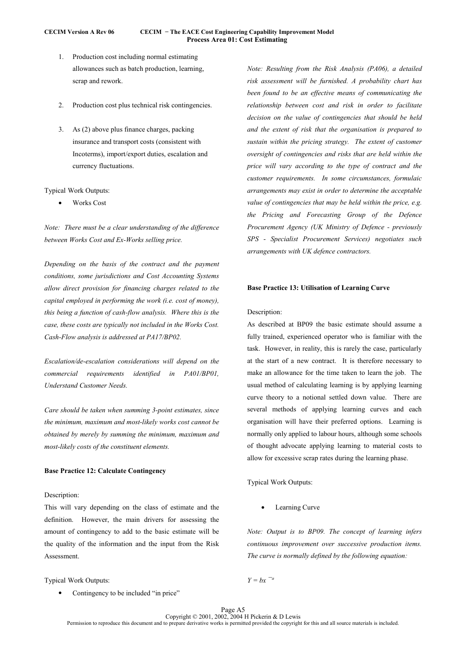# **CECIM Version A Rev 06 CECIM − The EACE Cost Engineering Capability Improvement Model Process Area 01: Cost Estimating**

- 1. Production cost including normal estimating allowances such as batch production, learning, scrap and rework.
- 2. Production cost plus technical risk contingencies.
- 3. As (2) above plus finance charges, packing insurance and transport costs (consistent with Incoterms), import/export duties, escalation and currency fluctuations.

### Typical Work Outputs:

• Works Cost

*Note: There must be a clear understanding of the difference between Works Cost and Ex-Works selling price.* 

*Depending on the basis of the contract and the payment conditions, some jurisdictions and Cost Accounting Systems allow direct provision for financing charges related to the capital employed in performing the work (i.e. cost of money), this being a function of cash-flow analysis. Where this is the case, these costs are typically not included in the Works Cost. Cash-Flow analysis is addressed at PA17/BP02.* 

*Escalation/de-escalation considerations will depend on the commercial requirements identified in PA01/BP01, Understand Customer Needs.* 

*Care should be taken when summing 3-point estimates, since the minimum, maximum and most-likely works cost cannot be obtained by merely by summing the minimum, maximum and most-likely costs of the constituent elements.* 

### **Base Practice 12: Calculate Contingency**

# Description:

This will vary depending on the class of estimate and the definition. However, the main drivers for assessing the amount of contingency to add to the basic estimate will be the quality of the information and the input from the Risk **Assessment.** 

Typical Work Outputs:

Contingency to be included "in price"

*Note: Resulting from the Risk Analysis (PA06), a detailed risk assessment will be furnished. A probability chart has been found to be an effective means of communicating the relationship between cost and risk in order to facilitate decision on the value of contingencies that should be held and the extent of risk that the organisation is prepared to sustain within the pricing strategy. The extent of customer oversight of contingencies and risks that are held within the price will vary according to the type of contract and the customer requirements. In some circumstances, formulaic arrangements may exist in order to determine the acceptable value of contingencies that may be held within the price, e.g. the Pricing and Forecasting Group of the Defence Procurement Agency (UK Ministry of Defence - previously SPS - Specialist Procurement Services) negotiates such arrangements with UK defence contractors.* 

### **Base Practice 13: Utilisation of Learning Curve**

# Description:

As described at BP09 the basic estimate should assume a fully trained, experienced operator who is familiar with the task. However, in reality, this is rarely the case, particularly at the start of a new contract. It is therefore necessary to make an allowance for the time taken to learn the job. The usual method of calculating learning is by applying learning curve theory to a notional settled down value. There are several methods of applying learning curves and each organisation will have their preferred options. Learning is normally only applied to labour hours, although some schools of thought advocate applying learning to material costs to allow for excessive scrap rates during the learning phase.

Typical Work Outputs:

Learning Curve

*Note: Output is to BP09. The concept of learning infers continuous improvement over successive production items. The curve is normally defined by the following equation:*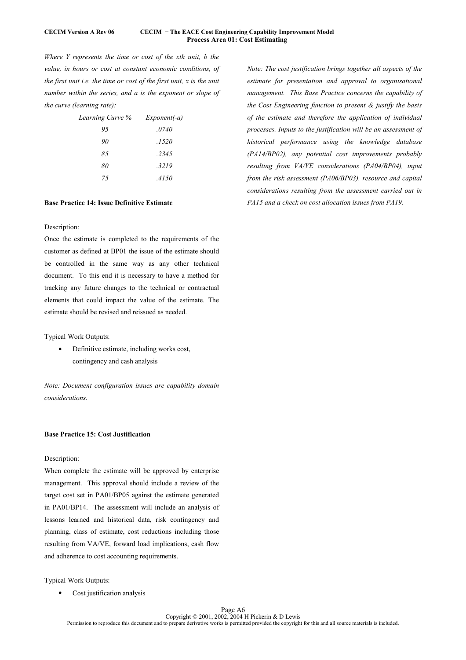### **CECIM Version A Rev 06 CECIM − The EACE Cost Engineering Capability Improvement Model Process Area 01: Cost Estimating**

 $\overline{a}$ 

*Where Y represents the time or cost of the xth unit, b the value, in hours or cost at constant economic conditions, of the first unit i.e. the time or cost of the first unit, x is the unit number within the series, and a is the exponent or slope of the curve (learning rate):* 

| Learning Curve % | $Exponent(-a)$ |
|------------------|----------------|
| 95               | .0740          |
| 90               | .1520          |
| 85               | .2345          |
| 80               | .3219          |
| 75               | .4150          |

# **Base Practice 14: Issue Definitive Estimate**

# Description:

Once the estimate is completed to the requirements of the customer as defined at BP01 the issue of the estimate should be controlled in the same way as any other technical document. To this end it is necessary to have a method for tracking any future changes to the technical or contractual elements that could impact the value of the estimate. The estimate should be revised and reissued as needed.

Typical Work Outputs:

• Definitive estimate, including works cost, contingency and cash analysis

*Note: Document configuration issues are capability domain considerations.* 

# **Base Practice 15: Cost Justification**

# Description:

When complete the estimate will be approved by enterprise management. This approval should include a review of the target cost set in PA01/BP05 against the estimate generated in PA01/BP14. The assessment will include an analysis of lessons learned and historical data, risk contingency and planning, class of estimate, cost reductions including those resulting from VA/VE, forward load implications, cash flow and adherence to cost accounting requirements.

Typical Work Outputs:

Cost justification analysis

*Note: The cost justification brings together all aspects of the estimate for presentation and approval to organisational management. This Base Practice concerns the capability of the Cost Engineering function to present & justify the basis of the estimate and therefore the application of individual processes. Inputs to the justification will be an assessment of historical performance using the knowledge database (PA14/BP02), any potential cost improvements probably resulting from VA/VE considerations (PA04/BP04), input from the risk assessment (PA06/BP03), resource and capital considerations resulting from the assessment carried out in PA15 and a check on cost allocation issues from PA19.*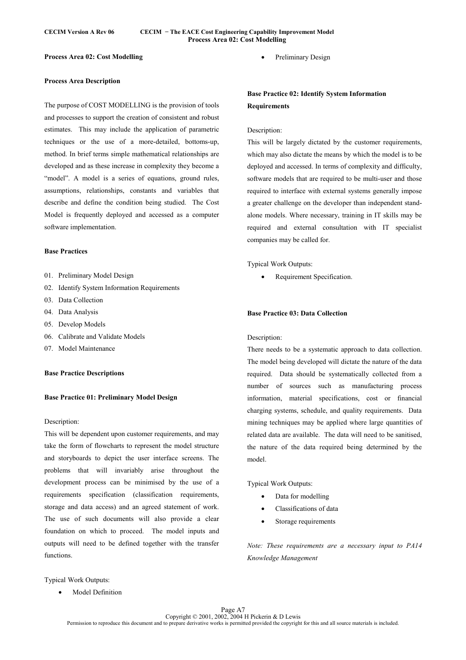### **CECIM Version A Rev 06 CECIM − The EACE Cost Engineering Capability Improvement Model Process Area 02: Cost Modelling**

# **Process Area 02: Cost Modelling**

# **Process Area Description**

The purpose of COST MODELLING is the provision of tools and processes to support the creation of consistent and robust estimates. This may include the application of parametric techniques or the use of a more-detailed, bottoms-up, method. In brief terms simple mathematical relationships are developed and as these increase in complexity they become a "model". A model is a series of equations, ground rules, assumptions, relationships, constants and variables that describe and define the condition being studied. The Cost Model is frequently deployed and accessed as a computer software implementation.

# **Base Practices**

- 01. Preliminary Model Design
- 02. Identify System Information Requirements
- 03. Data Collection
- 04. Data Analysis
- 05. Develop Models
- 06. Calibrate and Validate Models
- 07. Model Maintenance

### **Base Practice Descriptions**

### **Base Practice 01: Preliminary Model Design**

#### Description:

This will be dependent upon customer requirements, and may take the form of flowcharts to represent the model structure and storyboards to depict the user interface screens. The problems that will invariably arise throughout the development process can be minimised by the use of a requirements specification (classification requirements, storage and data access) and an agreed statement of work. The use of such documents will also provide a clear foundation on which to proceed. The model inputs and outputs will need to be defined together with the transfer functions.

Preliminary Design

# **Base Practice 02: Identify System Information Requirements**

### Description:

This will be largely dictated by the customer requirements, which may also dictate the means by which the model is to be deployed and accessed. In terms of complexity and difficulty, software models that are required to be multi-user and those required to interface with external systems generally impose a greater challenge on the developer than independent standalone models. Where necessary, training in IT skills may be required and external consultation with IT specialist companies may be called for.

Typical Work Outputs:

Requirement Specification.

# **Base Practice 03: Data Collection**

### Description:

There needs to be a systematic approach to data collection. The model being developed will dictate the nature of the data required. Data should be systematically collected from a number of sources such as manufacturing process information, material specifications, cost or financial charging systems, schedule, and quality requirements. Data mining techniques may be applied where large quantities of related data are available. The data will need to be sanitised, the nature of the data required being determined by the model.

Typical Work Outputs:

- Data for modelling
- Classifications of data
- Storage requirements

*Note: These requirements are a necessary input to PA14 Knowledge Management* 

Typical Work Outputs:

Model Definition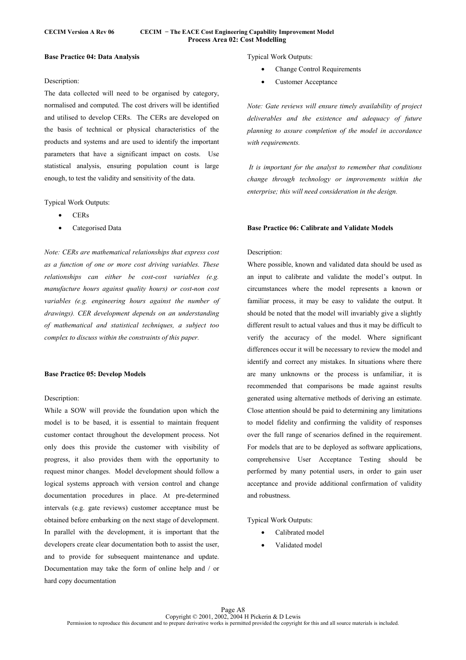### **CECIM Version A Rev 06 CECIM − The EACE Cost Engineering Capability Improvement Model Process Area 02: Cost Modelling**

### **Base Practice 04: Data Analysis**

### Description:

The data collected will need to be organised by category, normalised and computed. The cost drivers will be identified and utilised to develop CERs. The CERs are developed on the basis of technical or physical characteristics of the products and systems and are used to identify the important parameters that have a significant impact on costs. Use statistical analysis, ensuring population count is large enough, to test the validity and sensitivity of the data.

Typical Work Outputs:

- CERs
- Categorised Data

*Note: CERs are mathematical relationships that express cost as a function of one or more cost driving variables. These relationships can either be cost-cost variables (e.g. manufacture hours against quality hours) or cost-non cost variables (e.g. engineering hours against the number of drawings). CER development depends on an understanding of mathematical and statistical techniques, a subject too complex to discuss within the constraints of this paper.* 

## **Base Practice 05: Develop Models**

# Description:

While a SOW will provide the foundation upon which the model is to be based, it is essential to maintain frequent customer contact throughout the development process. Not only does this provide the customer with visibility of progress, it also provides them with the opportunity to request minor changes. Model development should follow a logical systems approach with version control and change documentation procedures in place. At pre-determined intervals (e.g. gate reviews) customer acceptance must be obtained before embarking on the next stage of development. In parallel with the development, it is important that the developers create clear documentation both to assist the user, and to provide for subsequent maintenance and update. Documentation may take the form of online help and / or hard copy documentation

Typical Work Outputs:

- Change Control Requirements
- Customer Acceptance

*Note: Gate reviews will ensure timely availability of project deliverables and the existence and adequacy of future planning to assure completion of the model in accordance with requirements.* 

 *It is important for the analyst to remember that conditions change through technology or improvements within the enterprise; this will need consideration in the design.* 

#### **Base Practice 06: Calibrate and Validate Models**

### Description:

Where possible, known and validated data should be used as an input to calibrate and validate the model's output. In circumstances where the model represents a known or familiar process, it may be easy to validate the output. It should be noted that the model will invariably give a slightly different result to actual values and thus it may be difficult to verify the accuracy of the model. Where significant differences occur it will be necessary to review the model and identify and correct any mistakes. In situations where there are many unknowns or the process is unfamiliar, it is recommended that comparisons be made against results generated using alternative methods of deriving an estimate. Close attention should be paid to determining any limitations to model fidelity and confirming the validity of responses over the full range of scenarios defined in the requirement. For models that are to be deployed as software applications, comprehensive User Acceptance Testing should be performed by many potential users, in order to gain user acceptance and provide additional confirmation of validity and robustness.

Typical Work Outputs:

- Calibrated model
- Validated model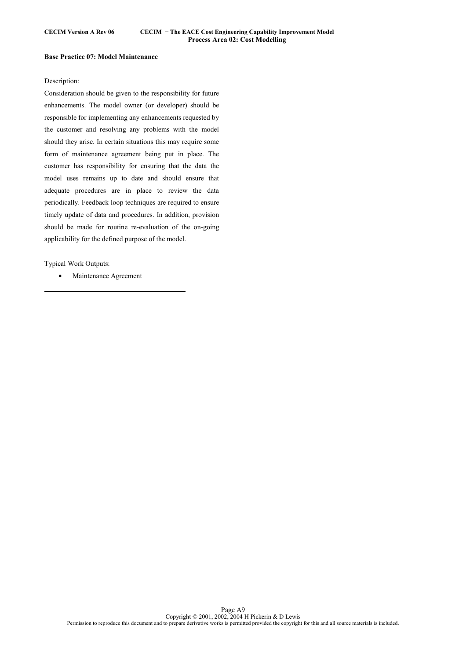### **Base Practice 07: Model Maintenance**

### Description:

Consideration should be given to the responsibility for future enhancements. The model owner (or developer) should be responsible for implementing any enhancements requested by the customer and resolving any problems with the model should they arise. In certain situations this may require some form of maintenance agreement being put in place. The customer has responsibility for ensuring that the data the model uses remains up to date and should ensure that adequate procedures are in place to review the data periodically. Feedback loop techniques are required to ensure timely update of data and procedures. In addition, provision should be made for routine re-evaluation of the on-going applicability for the defined purpose of the model.

Typical Work Outputs:

 $\overline{a}$ 

• Maintenance Agreement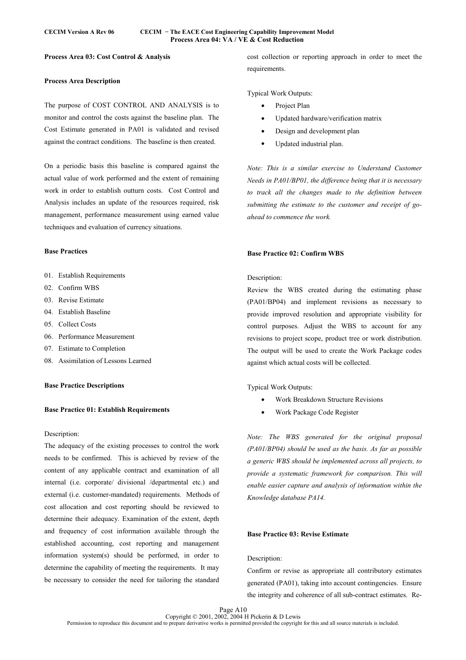# **CECIM Version A Rev 06 CECIM − The EACE Cost Engineering Capability Improvement Model Process Area 04: VA / VE & Cost Reduction**

# **Process Area 03: Cost Control & Analysis**

# **Process Area Description**

The purpose of COST CONTROL AND ANALYSIS is to monitor and control the costs against the baseline plan. The Cost Estimate generated in PA01 is validated and revised against the contract conditions. The baseline is then created.

On a periodic basis this baseline is compared against the actual value of work performed and the extent of remaining work in order to establish outturn costs. Cost Control and Analysis includes an update of the resources required, risk management, performance measurement using earned value techniques and evaluation of currency situations.

# **Base Practices**

- 01. Establish Requirements
- 02. Confirm WBS
- 03. Revise Estimate
- 04. Establish Baseline
- 05. Collect Costs
- 06. Performance Measurement
- 07. Estimate to Completion
- 08. Assimilation of Lessons Learned

# **Base Practice Descriptions**

# **Base Practice 01: Establish Requirements**

# Description:

The adequacy of the existing processes to control the work needs to be confirmed. This is achieved by review of the content of any applicable contract and examination of all internal (i.e. corporate/ divisional /departmental etc.) and external (i.e. customer-mandated) requirements. Methods of cost allocation and cost reporting should be reviewed to determine their adequacy. Examination of the extent, depth and frequency of cost information available through the established accounting, cost reporting and management information system(s) should be performed, in order to determine the capability of meeting the requirements. It may be necessary to consider the need for tailoring the standard cost collection or reporting approach in order to meet the requirements.

Typical Work Outputs:

- Project Plan
- Updated hardware/verification matrix
- Design and development plan
- Updated industrial plan.

*Note: This is a similar exercise to Understand Customer Needs in PA01/BP01, the difference being that it is necessary to track all the changes made to the definition between submitting the estimate to the customer and receipt of goahead to commence the work.* 

# **Base Practice 02: Confirm WBS**

# Description:

Review the WBS created during the estimating phase (PA01/BP04) and implement revisions as necessary to provide improved resolution and appropriate visibility for control purposes. Adjust the WBS to account for any revisions to project scope, product tree or work distribution. The output will be used to create the Work Package codes against which actual costs will be collected.

Typical Work Outputs:

- Work Breakdown Structure Revisions
- Work Package Code Register

*Note: The WBS generated for the original proposal (PA01/BP04) should be used as the basis. As far as possible a generic WBS should be implemented across all projects, to provide a systematic framework for comparison. This will enable easier capture and analysis of information within the Knowledge database PA14.* 

### **Base Practice 03: Revise Estimate**

### Description:

Confirm or revise as appropriate all contributory estimates generated (PA01), taking into account contingencies. Ensure the integrity and coherence of all sub-contract estimates. Re-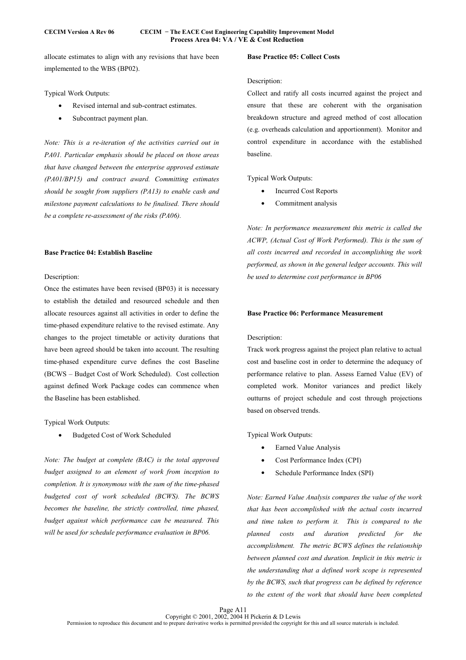# **CECIM Version A Rev 06 CECIM − The EACE Cost Engineering Capability Improvement Model Process Area 04: VA / VE & Cost Reduction**

allocate estimates to align with any revisions that have been implemented to the WBS (BP02).

Typical Work Outputs:

- Revised internal and sub-contract estimates.
- Subcontract payment plan.

*Note: This is a re-iteration of the activities carried out in PA01. Particular emphasis should be placed on those areas that have changed between the enterprise approved estimate (PA01/BP15) and contract award. Committing estimates should be sought from suppliers (PA13) to enable cash and milestone payment calculations to be finalised. There should be a complete re-assessment of the risks (PA06).* 

# **Base Practice 04: Establish Baseline**

### Description:

Once the estimates have been revised (BP03) it is necessary to establish the detailed and resourced schedule and then allocate resources against all activities in order to define the time-phased expenditure relative to the revised estimate. Any changes to the project timetable or activity durations that have been agreed should be taken into account. The resulting time-phased expenditure curve defines the cost Baseline (BCWS – Budget Cost of Work Scheduled). Cost collection against defined Work Package codes can commence when the Baseline has been established.

Typical Work Outputs:

• Budgeted Cost of Work Scheduled

*Note: The budget at complete (BAC) is the total approved budget assigned to an element of work from inception to completion. It is synonymous with the sum of the time-phased budgeted cost of work scheduled (BCWS). The BCWS becomes the baseline, the strictly controlled, time phased, budget against which performance can be measured. This will be used for schedule performance evaluation in BP06.* 

# **Base Practice 05: Collect Costs**

### Description:

Collect and ratify all costs incurred against the project and ensure that these are coherent with the organisation breakdown structure and agreed method of cost allocation (e.g. overheads calculation and apportionment). Monitor and control expenditure in accordance with the established baseline.

Typical Work Outputs:

- Incurred Cost Reports
- Commitment analysis

*Note: In performance measurement this metric is called the ACWP, (Actual Cost of Work Performed). This is the sum of all costs incurred and recorded in accomplishing the work performed, as shown in the general ledger accounts. This will be used to determine cost performance in BP06* 

# **Base Practice 06: Performance Measurement**

# Description:

Track work progress against the project plan relative to actual cost and baseline cost in order to determine the adequacy of performance relative to plan. Assess Earned Value (EV) of completed work. Monitor variances and predict likely outturns of project schedule and cost through projections based on observed trends.

Typical Work Outputs:

- Earned Value Analysis
- Cost Performance Index (CPI)
- Schedule Performance Index (SPI)

*Note: Earned Value Analysis compares the value of the work that has been accomplished with the actual costs incurred and time taken to perform it. This is compared to the planned costs and duration predicted for the accomplishment. The metric BCWS defines the relationship between planned cost and duration. Implicit in this metric is the understanding that a defined work scope is represented by the BCWS, such that progress can be defined by reference to the extent of the work that should have been completed*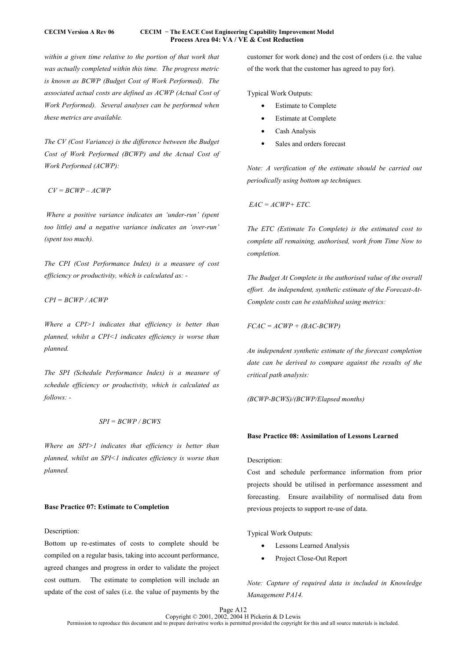## **CECIM Version A Rev 06 CECIM − The EACE Cost Engineering Capability Improvement Model Process Area 04: VA / VE & Cost Reduction**

*within a given time relative to the portion of that work that was actually completed within this time. The progress metric is known as BCWP (Budget Cost of Work Performed). The associated actual costs are defined as ACWP (Actual Cost of Work Performed). Several analyses can be performed when these metrics are available.* 

*The CV (Cost Variance) is the difference between the Budget Cost of Work Performed (BCWP) and the Actual Cost of Work Performed (ACWP):* 

 *CV = BCWP – ACWP* 

 *Where a positive variance indicates an 'under-run' (spent too little) and a negative variance indicates an 'over-run' (spent too much).* 

*The CPI (Cost Performance Index) is a measure of cost efficiency or productivity, which is calculated as: -* 

*CPI = BCWP / ACWP* 

*Where a CPI>1 indicates that efficiency is better than planned, whilst a CPI<1 indicates efficiency is worse than planned.* 

*The SPI (Schedule Performance Index) is a measure of schedule efficiency or productivity, which is calculated as follows: -* 

### *SPI = BCWP / BCWS*

*Where an SPI>1 indicates that efficiency is better than planned, whilst an SPI<1 indicates efficiency is worse than planned.* 

### **Base Practice 07: Estimate to Completion**

# Description:

Bottom up re-estimates of costs to complete should be compiled on a regular basis, taking into account performance, agreed changes and progress in order to validate the project cost outturn. The estimate to completion will include an update of the cost of sales (i.e. the value of payments by the

customer for work done) and the cost of orders (i.e. the value of the work that the customer has agreed to pay for).

Typical Work Outputs:

- **Estimate to Complete**
- **Estimate at Complete**
- Cash Analysis
- Sales and orders forecast

*Note: A verification of the estimate should be carried out periodically using bottom up techniques.* 

 *EAC = ACWP+ ETC.* 

*The ETC (Estimate To Complete) is the estimated cost to complete all remaining, authorised, work from Time Now to completion.* 

*The Budget At Complete is the authorised value of the overall effort. An independent, synthetic estimate of the Forecast-At-Complete costs can be established using metrics:* 

*FCAC = ACWP + (BAC-BCWP)* 

*An independent synthetic estimate of the forecast completion date can be derived to compare against the results of the critical path analysis:* 

*(BCWP-BCWS)/(BCWP/Elapsed months)* 

### **Base Practice 08: Assimilation of Lessons Learned**

# Description:

Cost and schedule performance information from prior projects should be utilised in performance assessment and forecasting. Ensure availability of normalised data from previous projects to support re-use of data.

Typical Work Outputs:

- Lessons Learned Analysis
- Project Close-Out Report

*Note: Capture of required data is included in Knowledge Management PA14.*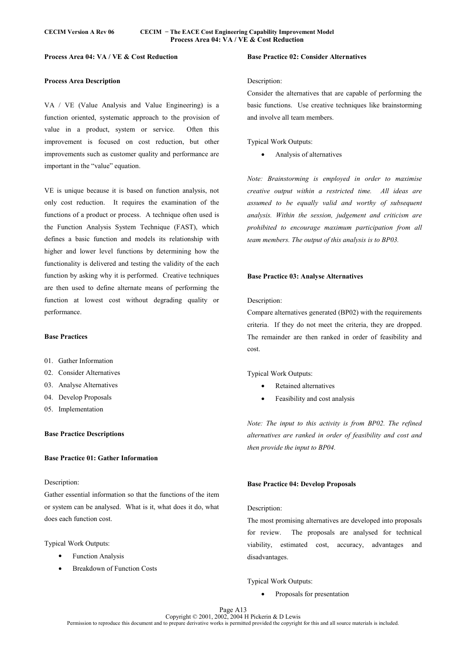# **Process Area 04: VA / VE & Cost Reduction**

# **Process Area Description**

VA / VE (Value Analysis and Value Engineering) is a function oriented, systematic approach to the provision of value in a product, system or service. Often this improvement is focused on cost reduction, but other improvements such as customer quality and performance are important in the "value" equation.

VE is unique because it is based on function analysis, not only cost reduction. It requires the examination of the functions of a product or process. A technique often used is the Function Analysis System Technique (FAST), which defines a basic function and models its relationship with higher and lower level functions by determining how the functionality is delivered and testing the validity of the each function by asking why it is performed. Creative techniques are then used to define alternate means of performing the function at lowest cost without degrading quality or performance.

### **Base Practices**

- 01. Gather Information
- 02. Consider Alternatives
- 03. Analyse Alternatives
- 04. Develop Proposals
- 05. Implementation

# **Base Practice Descriptions**

# **Base Practice 01: Gather Information**

### Description:

Gather essential information so that the functions of the item or system can be analysed. What is it, what does it do, what does each function cost.

Typical Work Outputs:

- **Function Analysis**
- Breakdown of Function Costs

# **Base Practice 02: Consider Alternatives**

### Description:

Consider the alternatives that are capable of performing the basic functions. Use creative techniques like brainstorming and involve all team members.

# Typical Work Outputs:

• Analysis of alternatives

*Note: Brainstorming is employed in order to maximise creative output within a restricted time. All ideas are assumed to be equally valid and worthy of subsequent analysis. Within the session, judgement and criticism are prohibited to encourage maximum participation from all team members. The output of this analysis is to BP03.* 

#### **Base Practice 03: Analyse Alternatives**

#### Description:

Compare alternatives generated (BP02) with the requirements criteria. If they do not meet the criteria, they are dropped. The remainder are then ranked in order of feasibility and cost.

Typical Work Outputs:

- Retained alternatives
- Feasibility and cost analysis

*Note: The input to this activity is from BP02. The refined alternatives are ranked in order of feasibility and cost and then provide the input to BP04.* 

### **Base Practice 04: Develop Proposals**

#### Description:

The most promising alternatives are developed into proposals for review. The proposals are analysed for technical viability, estimated cost, accuracy, advantages and disadvantages.

Typical Work Outputs:

• Proposals for presentation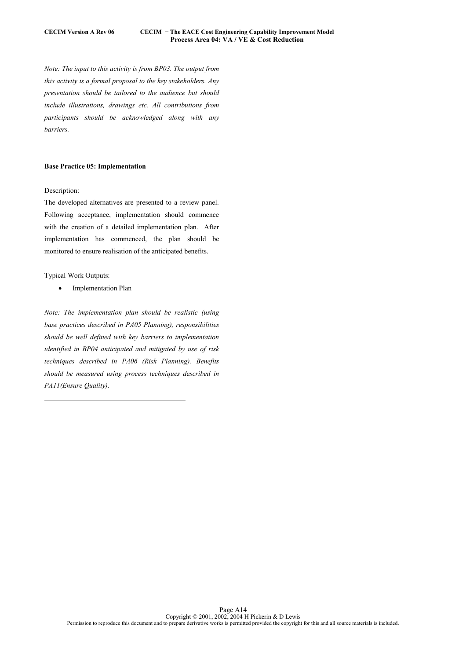*Note: The input to this activity is from BP03. The output from this activity is a formal proposal to the key stakeholders. Any presentation should be tailored to the audience but should include illustrations, drawings etc. All contributions from participants should be acknowledged along with any barriers.* 

# **Base Practice 05: Implementation**

### Description:

The developed alternatives are presented to a review panel. Following acceptance, implementation should commence with the creation of a detailed implementation plan. After implementation has commenced, the plan should be monitored to ensure realisation of the anticipated benefits.

Typical Work Outputs:

 $\overline{a}$ 

• Implementation Plan

*Note: The implementation plan should be realistic (using base practices described in PA05 Planning), responsibilities should be well defined with key barriers to implementation identified in BP04 anticipated and mitigated by use of risk techniques described in PA06 (Risk Planning). Benefits should be measured using process techniques described in PA11(Ensure Quality).*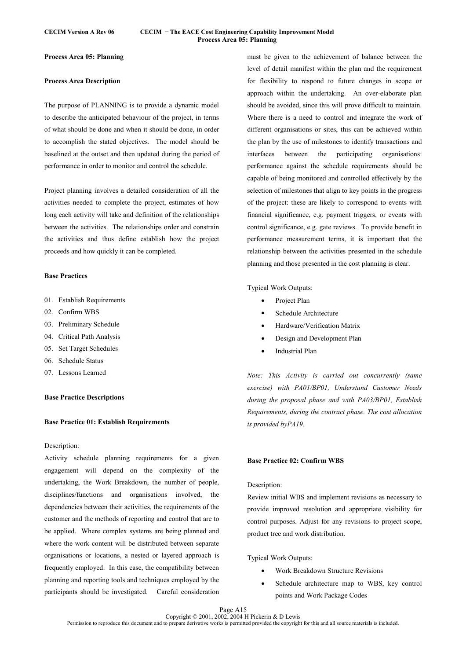### **CECIM Version A Rev 06 CECIM − The EACE Cost Engineering Capability Improvement Model Process Area 05: Planning**

# **Process Area 05: Planning**

# **Process Area Description**

The purpose of PLANNING is to provide a dynamic model to describe the anticipated behaviour of the project, in terms of what should be done and when it should be done, in order to accomplish the stated objectives. The model should be baselined at the outset and then updated during the period of performance in order to monitor and control the schedule.

Project planning involves a detailed consideration of all the activities needed to complete the project, estimates of how long each activity will take and definition of the relationships between the activities. The relationships order and constrain the activities and thus define establish how the project proceeds and how quickly it can be completed.

# **Base Practices**

- 01. Establish Requirements
- 02. Confirm WBS
- 03. Preliminary Schedule
- 04. Critical Path Analysis
- 05. Set Target Schedules
- 06. Schedule Status
- 07. Lessons Learned

# **Base Practice Descriptions**

### **Base Practice 01: Establish Requirements**

### Description:

Activity schedule planning requirements for a given engagement will depend on the complexity of the undertaking, the Work Breakdown, the number of people, disciplines/functions and organisations involved, the dependencies between their activities, the requirements of the customer and the methods of reporting and control that are to be applied. Where complex systems are being planned and where the work content will be distributed between separate organisations or locations, a nested or layered approach is frequently employed. In this case, the compatibility between planning and reporting tools and techniques employed by the participants should be investigated. Careful consideration

must be given to the achievement of balance between the level of detail manifest within the plan and the requirement for flexibility to respond to future changes in scope or approach within the undertaking. An over-elaborate plan should be avoided, since this will prove difficult to maintain. Where there is a need to control and integrate the work of different organisations or sites, this can be achieved within the plan by the use of milestones to identify transactions and interfaces between the participating organisations: performance against the schedule requirements should be capable of being monitored and controlled effectively by the selection of milestones that align to key points in the progress of the project: these are likely to correspond to events with financial significance, e.g. payment triggers, or events with control significance, e.g. gate reviews. To provide benefit in performance measurement terms, it is important that the relationship between the activities presented in the schedule planning and those presented in the cost planning is clear.

Typical Work Outputs:

- Project Plan
- Schedule Architecture
- Hardware/Verification Matrix
- Design and Development Plan
- Industrial Plan

*Note: This Activity is carried out concurrently (same exercise) with PA01/BP01, Understand Customer Needs during the proposal phase and with PA03/BP01, Establish Requirements, during the contract phase. The cost allocation is provided byPA19.* 

# **Base Practice 02: Confirm WBS**

### Description:

Review initial WBS and implement revisions as necessary to provide improved resolution and appropriate visibility for control purposes. Adjust for any revisions to project scope, product tree and work distribution.

Typical Work Outputs:

- Work Breakdown Structure Revisions
- Schedule architecture map to WBS, key control points and Work Package Codes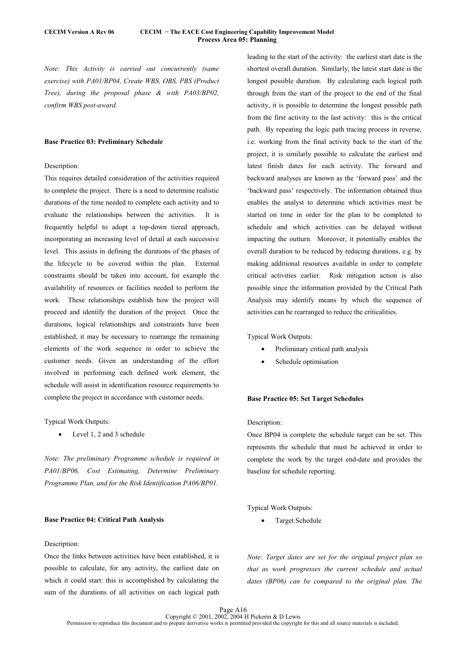### **CECIM Version A Rev 06 CECIM − The EACE Cost Engineering Capability Improvement Model Process Area 05: Planning**

*Note: This Activity is carried out concurrently (same exercise) with PA01/BP04, Create WBS, OBS, PBS (Product Tree), during the proposal phase & with PA03/BP02, confirm WBS post-award.* 

### **Base Practice 03: Preliminary Schedule**

# Description:

This requires detailed consideration of the activities required to complete the project. There is a need to determine realistic durations of the time needed to complete each activity and to evaluate the relationships between the activities. It is frequently helpful to adopt a top-down tiered approach, incorporating an increasing level of detail at each successive level. This assists in defining the durations of the phases of the lifecycle to be covered within the plan. External constraints should be taken into account, for example the availability of resources or facilities needed to perform the work. These relationships establish how the project will proceed and identify the duration of the project. Once the durations, logical relationships and constraints have been established, it may be necessary to rearrange the remaining elements of the work sequence in order to achieve the customer needs. Given an understanding of the effort involved in performing each defined work element, the schedule will assist in identification resource requirements to complete the project in accordance with customer needs.

### Typical Work Outputs:

Level 1, 2 and 3 schedule

*Note: The preliminary Programme schedule is required in PA01/BP06, Cost Estimating, Determine Preliminary Programme Plan, and for the Risk Identification PA06/BP01.* 

### **Base Practice 04: Critical Path Analysis**

### Description:

Once the links between activities have been established, it is possible to calculate, for any activity, the earliest date on which it could start: this is accomplished by calculating the sum of the durations of all activities on each logical path leading to the start of the activity: the earliest start date is the shortest overall duration. Similarly, the latest start date is the longest possible duration. By calculating each logical path through from the start of the project to the end of the final activity, it is possible to determine the longest possible path from the first activity to the last activity: this is the critical path. By repeating the logic path tracing process in reverse, i.e. working from the final activity back to the start of the project, it is similarly possible to calculate the earliest and latest finish dates for each activity. The forward and backward analyses are known as the 'forward pass' and the 'backward pass' respectively. The information obtained thus enables the analyst to determine which activities must be started on time in order for the plan to be completed to schedule and which activities can be delayed without impacting the outturn. Moreover, it potentially enables the overall duration to be reduced by reducing durations, e.g. by making additional resources available in order to complete critical activities earlier. Risk mitigation action is also possible since the information provided by the Critical Path Analysis may identify means by which the sequence of activities can be rearranged to reduce the criticalities.

Typical Work Outputs:

- Preliminary critical path analysis
- Schedule optimisation

### **Base Practice 05: Set Target Schedules**

### Description:

Once BP04 is complete the schedule target can be set. This represents the schedule that must be achieved in order to complete the work by the target end-date and provides the baseline for schedule reporting.

Typical Work Outputs:

• Target Schedule

*Note: Target dates are set for the original project plan so that as work progresses the current schedule and actual dates (BP06) can be compared to the original plan. The*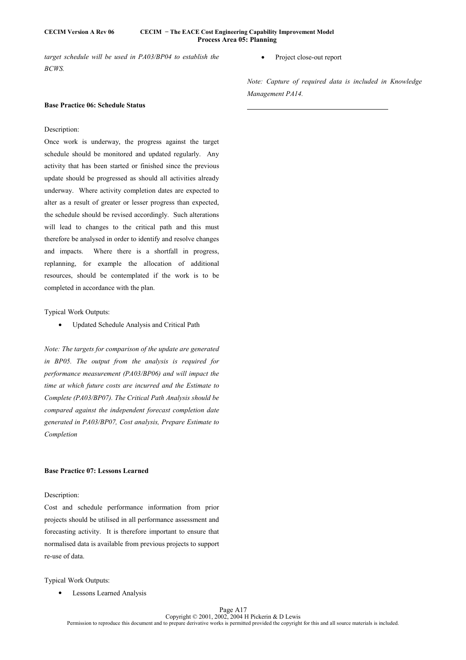# **CECIM Version A Rev 06 CECIM − The EACE Cost Engineering Capability Improvement Model Process Area 05: Planning**

 $\overline{a}$ 

*target schedule will be used in PA03/BP04 to establish the BCWS.* 

Project close-out report

*Note: Capture of required data is included in Knowledge Management PA14.* 

### **Base Practice 06: Schedule Status**

# Description:

Once work is underway, the progress against the target schedule should be monitored and updated regularly. Any activity that has been started or finished since the previous update should be progressed as should all activities already underway. Where activity completion dates are expected to alter as a result of greater or lesser progress than expected, the schedule should be revised accordingly. Such alterations will lead to changes to the critical path and this must therefore be analysed in order to identify and resolve changes and impacts. Where there is a shortfall in progress, replanning, for example the allocation of additional resources, should be contemplated if the work is to be completed in accordance with the plan.

### Typical Work Outputs:

• Updated Schedule Analysis and Critical Path

*Note: The targets for comparison of the update are generated in BP05. The output from the analysis is required for performance measurement (PA03/BP06) and will impact the time at which future costs are incurred and the Estimate to Complete (PA03/BP07). The Critical Path Analysis should be compared against the independent forecast completion date generated in PA03/BP07, Cost analysis, Prepare Estimate to Completion* 

# **Base Practice 07: Lessons Learned**

# Description:

Cost and schedule performance information from prior projects should be utilised in all performance assessment and forecasting activity. It is therefore important to ensure that normalised data is available from previous projects to support re-use of data.

Typical Work Outputs:

• Lessons Learned Analysis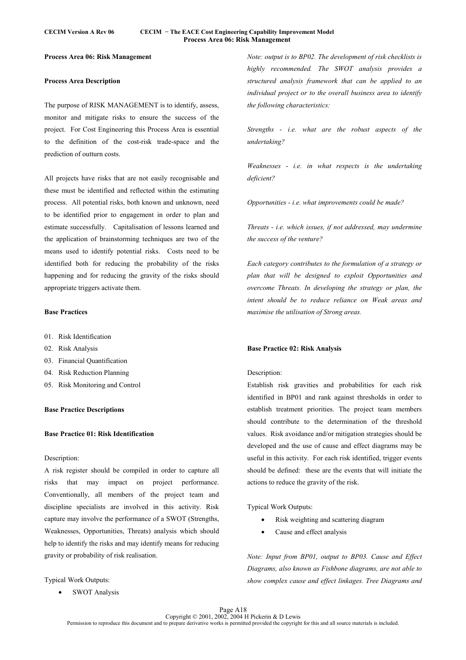### **CECIM Version A Rev 06 CECIM − The EACE Cost Engineering Capability Improvement Model Process Area 06: Risk Management**

# **Process Area 06: Risk Management**

# **Process Area Description**

The purpose of RISK MANAGEMENT is to identify, assess, monitor and mitigate risks to ensure the success of the project. For Cost Engineering this Process Area is essential to the definition of the cost-risk trade-space and the prediction of outturn costs.

All projects have risks that are not easily recognisable and these must be identified and reflected within the estimating process. All potential risks, both known and unknown, need to be identified prior to engagement in order to plan and estimate successfully. Capitalisation of lessons learned and the application of brainstorming techniques are two of the means used to identify potential risks. Costs need to be identified both for reducing the probability of the risks happening and for reducing the gravity of the risks should appropriate triggers activate them.

# **Base Practices**

- 01. Risk Identification
- 02. Risk Analysis
- 03. Financial Quantification
- 04. Risk Reduction Planning
- 05. Risk Monitoring and Control

# **Base Practice Descriptions**

# **Base Practice 01: Risk Identification**

# Description:

A risk register should be compiled in order to capture all risks that may impact on project performance. Conventionally, all members of the project team and discipline specialists are involved in this activity. Risk capture may involve the performance of a SWOT (Strengths, Weaknesses, Opportunities, Threats) analysis which should help to identify the risks and may identify means for reducing gravity or probability of risk realisation.

Typical Work Outputs:

• SWOT Analysis

*Note: output is to BP02. The development of risk checklists is highly recommended. The SWOT analysis provides a structured analysis framework that can be applied to an individual project or to the overall business area to identify the following characteristics:* 

*Strengths - i.e. what are the robust aspects of the undertaking?* 

*Weaknesses - i.e. in what respects is the undertaking deficient?* 

*Opportunities - i.e. what improvements could be made?* 

*Threats - i.e. which issues, if not addressed, may undermine the success of the venture?* 

*Each category contributes to the formulation of a strategy or plan that will be designed to exploit Opportunities and overcome Threats. In developing the strategy or plan, the intent should be to reduce reliance on Weak areas and maximise the utilisation of Strong areas.* 

### **Base Practice 02: Risk Analysis**

### Description:

Establish risk gravities and probabilities for each risk identified in BP01 and rank against thresholds in order to establish treatment priorities. The project team members should contribute to the determination of the threshold values. Risk avoidance and/or mitigation strategies should be developed and the use of cause and effect diagrams may be useful in this activity. For each risk identified, trigger events should be defined: these are the events that will initiate the actions to reduce the gravity of the risk.

Typical Work Outputs:

- Risk weighting and scattering diagram
- Cause and effect analysis

*Note: Input from BP01, output to BP03. Cause and Effect Diagrams, also known as Fishbone diagrams, are not able to show complex cause and effect linkages. Tree Diagrams and*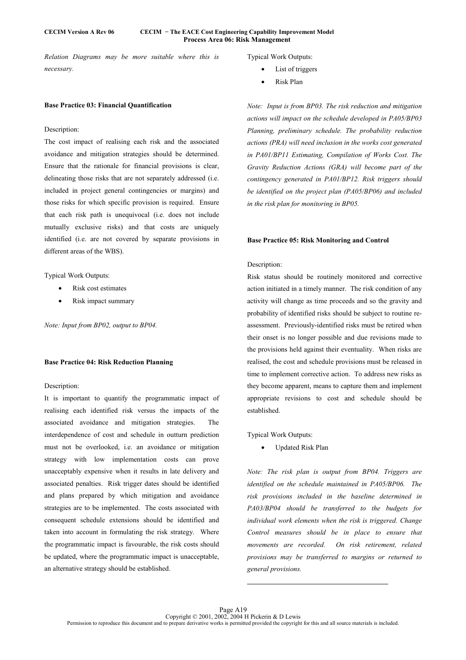### **CECIM Version A Rev 06 CECIM − The EACE Cost Engineering Capability Improvement Model Process Area 06: Risk Management**

*Relation Diagrams may be more suitable where this is necessary.* 

### **Base Practice 03: Financial Quantification**

### Description:

The cost impact of realising each risk and the associated avoidance and mitigation strategies should be determined. Ensure that the rationale for financial provisions is clear, delineating those risks that are not separately addressed (i.e. included in project general contingencies or margins) and those risks for which specific provision is required. Ensure that each risk path is unequivocal (i.e. does not include mutually exclusive risks) and that costs are uniquely identified (i.e. are not covered by separate provisions in different areas of the WBS).

Typical Work Outputs:

- Risk cost estimates
- Risk impact summary

*Note: Input from BP02, output to BP04.* 

### **Base Practice 04: Risk Reduction Planning**

### Description:

It is important to quantify the programmatic impact of realising each identified risk versus the impacts of the associated avoidance and mitigation strategies. The interdependence of cost and schedule in outturn prediction must not be overlooked, i.e. an avoidance or mitigation strategy with low implementation costs can prove unacceptably expensive when it results in late delivery and associated penalties. Risk trigger dates should be identified and plans prepared by which mitigation and avoidance strategies are to be implemented. The costs associated with consequent schedule extensions should be identified and taken into account in formulating the risk strategy. Where the programmatic impact is favourable, the risk costs should be updated, where the programmatic impact is unacceptable, an alternative strategy should be established.

Typical Work Outputs:

- List of triggers
- Risk Plan

*Note: Input is from BP03. The risk reduction and mitigation actions will impact on the schedule developed in PA05/BP03 Planning, preliminary schedule. The probability reduction actions (PRA) will need inclusion in the works cost generated in PA01/BP11 Estimating, Compilation of Works Cost. The Gravity Reduction Actions (GRA) will become part of the contingency generated in PA01/BP12. Risk triggers should be identified on the project plan (PA05/BP06) and included in the risk plan for monitoring in BP05.* 

### **Base Practice 05: Risk Monitoring and Control**

# Description:

Risk status should be routinely monitored and corrective action initiated in a timely manner. The risk condition of any activity will change as time proceeds and so the gravity and probability of identified risks should be subject to routine reassessment. Previously-identified risks must be retired when their onset is no longer possible and due revisions made to the provisions held against their eventuality. When risks are realised, the cost and schedule provisions must be released in time to implement corrective action. To address new risks as they become apparent, means to capture them and implement appropriate revisions to cost and schedule should be established.

Typical Work Outputs:

• Updated Risk Plan

*Note: The risk plan is output from BP04. Triggers are identified on the schedule maintained in PA05/BP06. The risk provisions included in the baseline determined in PA03/BP04 should be transferred to the budgets for individual work elements when the risk is triggered. Change Control measures should be in place to ensure that movements are recorded. On risk retirement, related provisions may be transferred to margins or returned to general provisions.*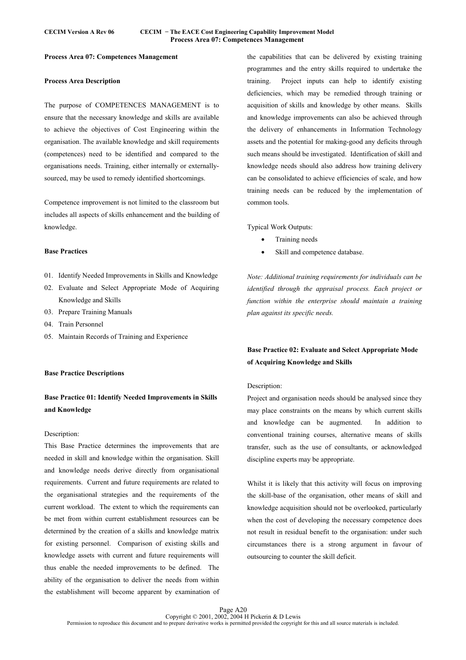# **Process Area 07: Competences Management**

# **Process Area Description**

The purpose of COMPETENCES MANAGEMENT is to ensure that the necessary knowledge and skills are available to achieve the objectives of Cost Engineering within the organisation. The available knowledge and skill requirements (competences) need to be identified and compared to the organisations needs. Training, either internally or externallysourced, may be used to remedy identified shortcomings.

Competence improvement is not limited to the classroom but includes all aspects of skills enhancement and the building of knowledge.

# **Base Practices**

- 01. Identify Needed Improvements in Skills and Knowledge
- 02. Evaluate and Select Appropriate Mode of Acquiring Knowledge and Skills
- 03. Prepare Training Manuals
- 04. Train Personnel
- 05. Maintain Records of Training and Experience

### **Base Practice Descriptions**

# **Base Practice 01: Identify Needed Improvements in Skills and Knowledge**

### Description:

This Base Practice determines the improvements that are needed in skill and knowledge within the organisation. Skill and knowledge needs derive directly from organisational requirements. Current and future requirements are related to the organisational strategies and the requirements of the current workload. The extent to which the requirements can be met from within current establishment resources can be determined by the creation of a skills and knowledge matrix for existing personnel. Comparison of existing skills and knowledge assets with current and future requirements will thus enable the needed improvements to be defined. The ability of the organisation to deliver the needs from within the establishment will become apparent by examination of the capabilities that can be delivered by existing training programmes and the entry skills required to undertake the training. Project inputs can help to identify existing deficiencies, which may be remedied through training or acquisition of skills and knowledge by other means. Skills and knowledge improvements can also be achieved through the delivery of enhancements in Information Technology assets and the potential for making-good any deficits through such means should be investigated. Identification of skill and knowledge needs should also address how training delivery can be consolidated to achieve efficiencies of scale, and how training needs can be reduced by the implementation of common tools.

Typical Work Outputs:

- Training needs
- Skill and competence database.

*Note: Additional training requirements for individuals can be identified through the appraisal process. Each project or function within the enterprise should maintain a training plan against its specific needs.* 

# **Base Practice 02: Evaluate and Select Appropriate Mode of Acquiring Knowledge and Skills**

### Description:

Project and organisation needs should be analysed since they may place constraints on the means by which current skills and knowledge can be augmented. In addition to conventional training courses, alternative means of skills transfer, such as the use of consultants, or acknowledged discipline experts may be appropriate.

Whilst it is likely that this activity will focus on improving the skill-base of the organisation, other means of skill and knowledge acquisition should not be overlooked, particularly when the cost of developing the necessary competence does not result in residual benefit to the organisation: under such circumstances there is a strong argument in favour of outsourcing to counter the skill deficit.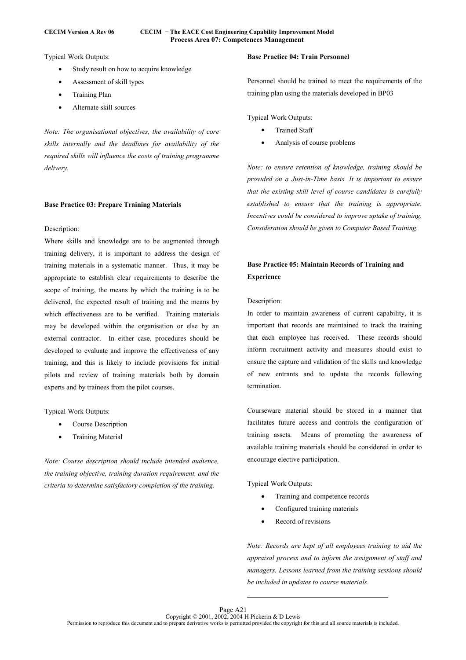### **CECIM Version A Rev 06 CECIM − The EACE Cost Engineering Capability Improvement Model Process Area 07: Competences Management**

Typical Work Outputs:

- Study result on how to acquire knowledge
- Assessment of skill types
- Training Plan
- Alternate skill sources

*Note: The organisational objectives, the availability of core skills internally and the deadlines for availability of the required skills will influence the costs of training programme delivery.* 

# **Base Practice 03: Prepare Training Materials**

### Description:

Where skills and knowledge are to be augmented through training delivery, it is important to address the design of training materials in a systematic manner. Thus, it may be appropriate to establish clear requirements to describe the scope of training, the means by which the training is to be delivered, the expected result of training and the means by which effectiveness are to be verified. Training materials may be developed within the organisation or else by an external contractor. In either case, procedures should be developed to evaluate and improve the effectiveness of any training, and this is likely to include provisions for initial pilots and review of training materials both by domain experts and by trainees from the pilot courses.

### Typical Work Outputs:

- Course Description
- Training Material

*Note: Course description should include intended audience, the training objective, training duration requirement, and the criteria to determine satisfactory completion of the training.* 

# **Base Practice 04: Train Personnel**

Personnel should be trained to meet the requirements of the training plan using the materials developed in BP03

Typical Work Outputs:

- **Trained Staff**
- Analysis of course problems

*Note: to ensure retention of knowledge, training should be provided on a Just-in-Time basis. It is important to ensure that the existing skill level of course candidates is carefully established to ensure that the training is appropriate. Incentives could be considered to improve uptake of training. Consideration should be given to Computer Based Training.* 

# **Base Practice 05: Maintain Records of Training and Experience**

### Description:

In order to maintain awareness of current capability, it is important that records are maintained to track the training that each employee has received. These records should inform recruitment activity and measures should exist to ensure the capture and validation of the skills and knowledge of new entrants and to update the records following termination.

Courseware material should be stored in a manner that facilitates future access and controls the configuration of training assets. Means of promoting the awareness of available training materials should be considered in order to encourage elective participation.

Typical Work Outputs:

- Training and competence records
- Configured training materials
- Record of revisions

*Note: Records are kept of all employees training to aid the appraisal process and to inform the assignment of staff and managers. Lessons learned from the training sessions should be included in updates to course materials.*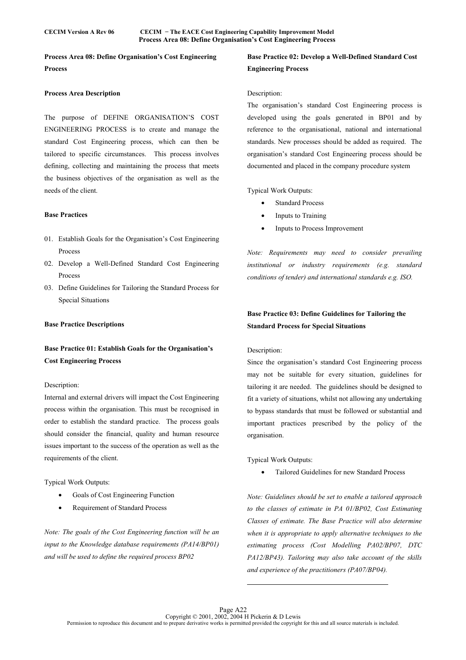**Process Area 08: Define Organisation's Cost Engineering Process** 

### **Process Area Description**

The purpose of DEFINE ORGANISATION'S COST ENGINEERING PROCESS is to create and manage the standard Cost Engineering process, which can then be tailored to specific circumstances. This process involves defining, collecting and maintaining the process that meets the business objectives of the organisation as well as the needs of the client.

#### **Base Practices**

- 01. Establish Goals for the Organisation's Cost Engineering Process
- 02. Develop a Well-Defined Standard Cost Engineering Process
- 03. Define Guidelines for Tailoring the Standard Process for Special Situations

### **Base Practice Descriptions**

# **Base Practice 01: Establish Goals for the Organisation's Cost Engineering Process**

### Description:

Internal and external drivers will impact the Cost Engineering process within the organisation. This must be recognised in order to establish the standard practice. The process goals should consider the financial, quality and human resource issues important to the success of the operation as well as the requirements of the client.

Typical Work Outputs:

- Goals of Cost Engineering Function
- Requirement of Standard Process

*Note: The goals of the Cost Engineering function will be an input to the Knowledge database requirements (PA14/BP01) and will be used to define the required process BP02* 

# **Base Practice 02: Develop a Well-Defined Standard Cost Engineering Process**

### Description:

The organisation's standard Cost Engineering process is developed using the goals generated in BP01 and by reference to the organisational, national and international standards. New processes should be added as required. The organisation's standard Cost Engineering process should be documented and placed in the company procedure system

Typical Work Outputs:

- **Standard Process**
- Inputs to Training
- Inputs to Process Improvement

*Note: Requirements may need to consider prevailing institutional or industry requirements (e.g. standard conditions of tender) and international standards e.g. ISO.* 

# **Base Practice 03: Define Guidelines for Tailoring the Standard Process for Special Situations**

### Description:

Since the organisation's standard Cost Engineering process may not be suitable for every situation, guidelines for tailoring it are needed. The guidelines should be designed to fit a variety of situations, whilst not allowing any undertaking to bypass standards that must be followed or substantial and important practices prescribed by the policy of the organisation.

Typical Work Outputs:

• Tailored Guidelines for new Standard Process

*Note: Guidelines should be set to enable a tailored approach to the classes of estimate in PA 01/BP02, Cost Estimating Classes of estimate. The Base Practice will also determine when it is appropriate to apply alternative techniques to the estimating process (Cost Modelling PA02/BP07, DTC PA12/BP43). Tailoring may also take account of the skills and experience of the practitioners (PA07/BP04).*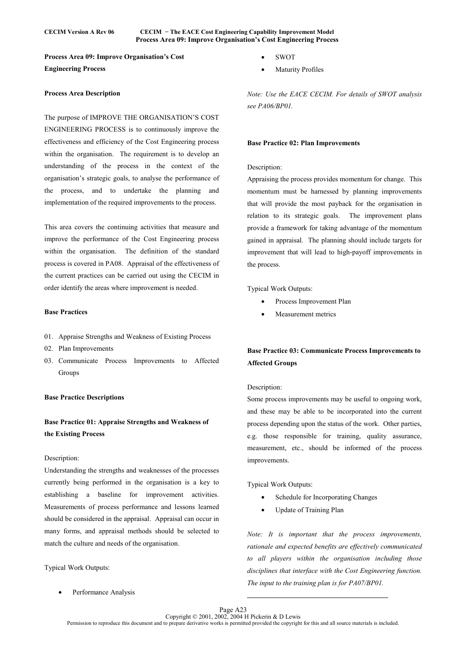### **CECIM Version A Rev 06 CECIM − The EACE Cost Engineering Capability Improvement Model Process Area 09: Improve Organisation's Cost Engineering Process**

**Process Area 09: Improve Organisation's Cost Engineering Process** 

### **Process Area Description**

The purpose of IMPROVE THE ORGANISATION'S COST ENGINEERING PROCESS is to continuously improve the effectiveness and efficiency of the Cost Engineering process within the organisation. The requirement is to develop an understanding of the process in the context of the organisation's strategic goals, to analyse the performance of the process, and to undertake the planning and implementation of the required improvements to the process.

This area covers the continuing activities that measure and improve the performance of the Cost Engineering process within the organisation. The definition of the standard process is covered in PA08. Appraisal of the effectiveness of the current practices can be carried out using the CECIM in order identify the areas where improvement is needed.

# **Base Practices**

- 01. Appraise Strengths and Weakness of Existing Process
- 02. Plan Improvements
- 03. Communicate Process Improvements to Affected Groups

### **Base Practice Descriptions**

# **Base Practice 01: Appraise Strengths and Weakness of the Existing Process**

# Description:

Understanding the strengths and weaknesses of the processes currently being performed in the organisation is a key to establishing a baseline for improvement activities. Measurements of process performance and lessons learned should be considered in the appraisal. Appraisal can occur in many forms, and appraisal methods should be selected to match the culture and needs of the organisation.

Typical Work Outputs:

Performance Analysis

- SWOT
- **Maturity Profiles**

*Note: Use the EACE CECIM. For details of SWOT analysis see PA06/BP01.* 

### **Base Practice 02: Plan Improvements**

# Description:

Appraising the process provides momentum for change. This momentum must be harnessed by planning improvements that will provide the most payback for the organisation in relation to its strategic goals. The improvement plans provide a framework for taking advantage of the momentum gained in appraisal. The planning should include targets for improvement that will lead to high-payoff improvements in the process.

Typical Work Outputs:

- Process Improvement Plan
- Measurement metrics

# **Base Practice 03: Communicate Process Improvements to Affected Groups**

### Description:

Some process improvements may be useful to ongoing work, and these may be able to be incorporated into the current process depending upon the status of the work. Other parties, e.g. those responsible for training, quality assurance, measurement, etc., should be informed of the process improvements.

Typical Work Outputs:

- Schedule for Incorporating Changes
- Update of Training Plan

*Note: It is important that the process improvements, rationale and expected benefits are effectively communicated to all players within the organisation including those disciplines that interface with the Cost Engineering function. The input to the training plan is for PA07/BP01.*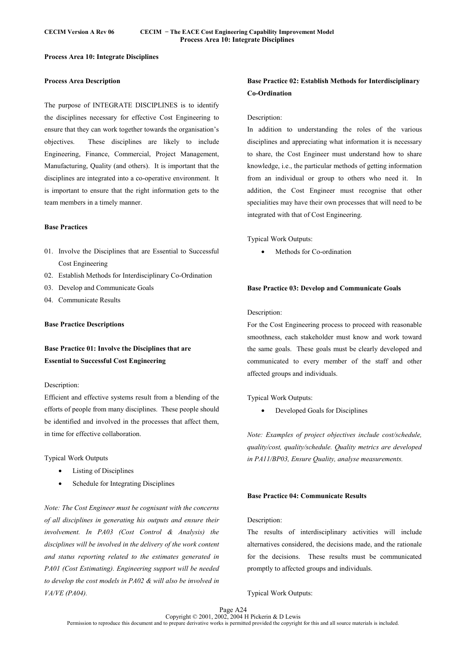# **Process Area 10: Integrate Disciplines**

# **Process Area Description**

The purpose of INTEGRATE DISCIPLINES is to identify the disciplines necessary for effective Cost Engineering to ensure that they can work together towards the organisation's objectives. These disciplines are likely to include Engineering, Finance, Commercial, Project Management, Manufacturing, Quality (and others). It is important that the disciplines are integrated into a co-operative environment. It is important to ensure that the right information gets to the team members in a timely manner.

### **Base Practices**

- 01. Involve the Disciplines that are Essential to Successful Cost Engineering
- 02. Establish Methods for Interdisciplinary Co-Ordination
- 03. Develop and Communicate Goals
- 04. Communicate Results

### **Base Practice Descriptions**

**Base Practice 01: Involve the Disciplines that are Essential to Successful Cost Engineering** 

### Description:

Efficient and effective systems result from a blending of the efforts of people from many disciplines. These people should be identified and involved in the processes that affect them, in time for effective collaboration.

Typical Work Outputs

- Listing of Disciplines
- Schedule for Integrating Disciplines

*Note: The Cost Engineer must be cognisant with the concerns of all disciplines in generating his outputs and ensure their involvement. In PA03 (Cost Control & Analysis) the disciplines will be involved in the delivery of the work content and status reporting related to the estimates generated in PA01 (Cost Estimating). Engineering support will be needed to develop the cost models in PA02 & will also be involved in VA/VE (PA04).* 

# **Base Practice 02: Establish Methods for Interdisciplinary Co-Ordination**

### Description:

In addition to understanding the roles of the various disciplines and appreciating what information it is necessary to share, the Cost Engineer must understand how to share knowledge, i.e., the particular methods of getting information from an individual or group to others who need it. In addition, the Cost Engineer must recognise that other specialities may have their own processes that will need to be integrated with that of Cost Engineering.

Typical Work Outputs:

• Methods for Co-ordination

# **Base Practice 03: Develop and Communicate Goals**

### Description:

For the Cost Engineering process to proceed with reasonable smoothness, each stakeholder must know and work toward the same goals. These goals must be clearly developed and communicated to every member of the staff and other affected groups and individuals.

Typical Work Outputs:

• Developed Goals for Disciplines

*Note: Examples of project objectives include cost/schedule, quality/cost, quality/schedule. Quality metrics are developed in PA11/BP03, Ensure Quality, analyse measurements.* 

# **Base Practice 04: Communicate Results**

#### Description:

The results of interdisciplinary activities will include alternatives considered, the decisions made, and the rationale for the decisions. These results must be communicated promptly to affected groups and individuals.

Typical Work Outputs: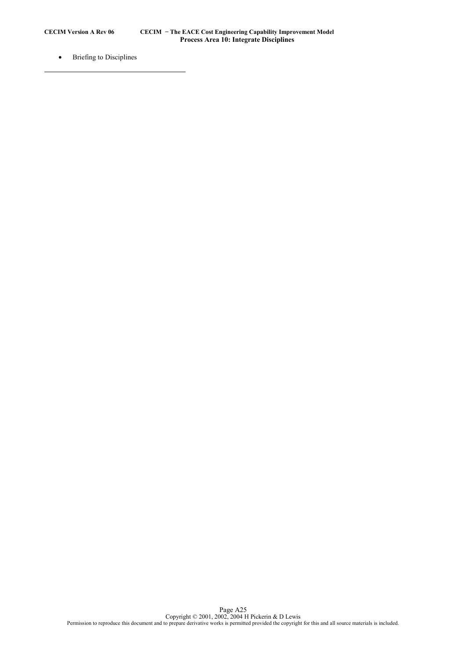$\overline{a}$ 

• Briefing to Disciplines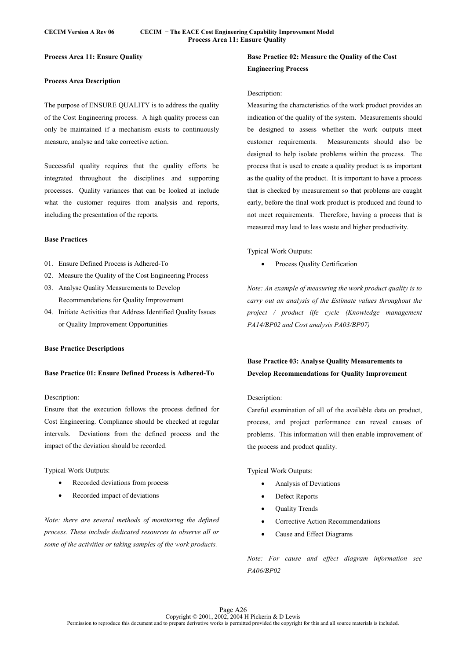# **Process Area 11: Ensure Quality**

# **Process Area Description**

The purpose of ENSURE QUALITY is to address the quality of the Cost Engineering process. A high quality process can only be maintained if a mechanism exists to continuously measure, analyse and take corrective action.

Successful quality requires that the quality efforts be integrated throughout the disciplines and supporting processes. Quality variances that can be looked at include what the customer requires from analysis and reports, including the presentation of the reports.

### **Base Practices**

- 01. Ensure Defined Process is Adhered-To
- 02. Measure the Quality of the Cost Engineering Process
- 03. Analyse Quality Measurements to Develop Recommendations for Quality Improvement
- 04. Initiate Activities that Address Identified Quality Issues or Quality Improvement Opportunities

# **Base Practice Descriptions**

### **Base Practice 01: Ensure Defined Process is Adhered-To**

### Description:

Ensure that the execution follows the process defined for Cost Engineering. Compliance should be checked at regular intervals. Deviations from the defined process and the impact of the deviation should be recorded.

Typical Work Outputs:

- Recorded deviations from process
- Recorded impact of deviations

*Note: there are several methods of monitoring the defined process. These include dedicated resources to observe all or some of the activities or taking samples of the work products.* 

# **Base Practice 02: Measure the Quality of the Cost Engineering Process**

### Description:

Measuring the characteristics of the work product provides an indication of the quality of the system. Measurements should be designed to assess whether the work outputs meet customer requirements. Measurements should also be designed to help isolate problems within the process. The process that is used to create a quality product is as important as the quality of the product. It is important to have a process that is checked by measurement so that problems are caught early, before the final work product is produced and found to not meet requirements. Therefore, having a process that is measured may lead to less waste and higher productivity.

Typical Work Outputs:

Process Quality Certification

*Note: An example of measuring the work product quality is to carry out an analysis of the Estimate values throughout the project / product life cycle (Knowledge management PA14/BP02 and Cost analysis PA03/BP07)* 

# **Base Practice 03: Analyse Quality Measurements to Develop Recommendations for Quality Improvement**

# Description:

Careful examination of all of the available data on product, process, and project performance can reveal causes of problems. This information will then enable improvement of the process and product quality.

Typical Work Outputs:

- Analysis of Deviations
- Defect Reports
- Quality Trends
- Corrective Action Recommendations
- Cause and Effect Diagrams

*Note: For cause and effect diagram information see PA06/BP02*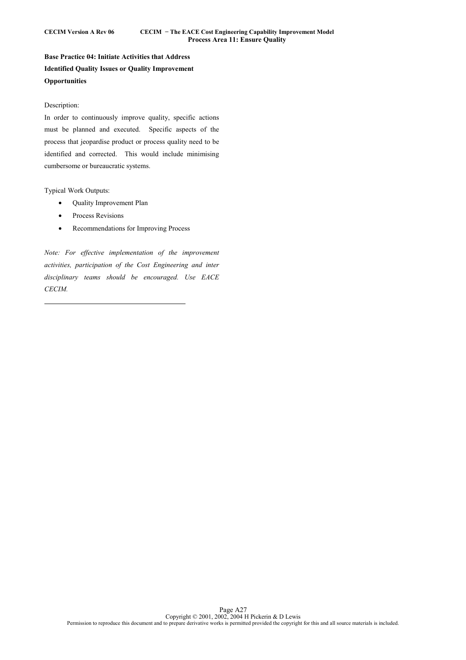**Base Practice 04: Initiate Activities that Address Identified Quality Issues or Quality Improvement Opportunities** 

# Description:

In order to continuously improve quality, specific actions must be planned and executed. Specific aspects of the process that jeopardise product or process quality need to be identified and corrected. This would include minimising cumbersome or bureaucratic systems.

Typical Work Outputs:

 $\overline{a}$ 

- Quality Improvement Plan
- Process Revisions
- Recommendations for Improving Process

*Note: For effective implementation of the improvement activities, participation of the Cost Engineering and inter disciplinary teams should be encouraged. Use EACE CECIM.*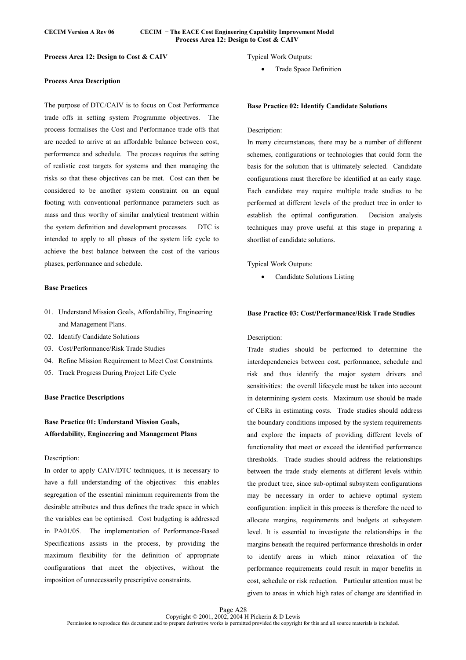### **CECIM Version A Rev 06 CECIM − The EACE Cost Engineering Capability Improvement Model Process Area 12: Design to Cost & CAIV**

**Process Area 12: Design to Cost & CAIV** 

### **Process Area Description**

The purpose of DTC/CAIV is to focus on Cost Performance trade offs in setting system Programme objectives. The process formalises the Cost and Performance trade offs that are needed to arrive at an affordable balance between cost, performance and schedule. The process requires the setting of realistic cost targets for systems and then managing the risks so that these objectives can be met. Cost can then be considered to be another system constraint on an equal footing with conventional performance parameters such as mass and thus worthy of similar analytical treatment within the system definition and development processes. DTC is intended to apply to all phases of the system life cycle to achieve the best balance between the cost of the various phases, performance and schedule.

# **Base Practices**

- 01. Understand Mission Goals, Affordability, Engineering and Management Plans.
- 02. Identify Candidate Solutions
- 03. Cost/Performance/Risk Trade Studies
- 04. Refine Mission Requirement to Meet Cost Constraints.
- 05. Track Progress During Project Life Cycle

### **Base Practice Descriptions**

# **Base Practice 01: Understand Mission Goals, Affordability, Engineering and Management Plans**

### Description:

In order to apply CAIV/DTC techniques, it is necessary to have a full understanding of the objectives: this enables segregation of the essential minimum requirements from the desirable attributes and thus defines the trade space in which the variables can be optimised. Cost budgeting is addressed in PA01/05. The implementation of Performance-Based Specifications assists in the process, by providing the maximum flexibility for the definition of appropriate configurations that meet the objectives, without the imposition of unnecessarily prescriptive constraints.

Typical Work Outputs:

• Trade Space Definition

### **Base Practice 02: Identify Candidate Solutions**

### Description:

In many circumstances, there may be a number of different schemes, configurations or technologies that could form the basis for the solution that is ultimately selected. Candidate configurations must therefore be identified at an early stage. Each candidate may require multiple trade studies to be performed at different levels of the product tree in order to establish the optimal configuration. Decision analysis techniques may prove useful at this stage in preparing a shortlist of candidate solutions.

Typical Work Outputs:

• Candidate Solutions Listing

# **Base Practice 03: Cost/Performance/Risk Trade Studies**

# Description:

Trade studies should be performed to determine the interdependencies between cost, performance, schedule and risk and thus identify the major system drivers and sensitivities: the overall lifecycle must be taken into account in determining system costs. Maximum use should be made of CERs in estimating costs. Trade studies should address the boundary conditions imposed by the system requirements and explore the impacts of providing different levels of functionality that meet or exceed the identified performance thresholds. Trade studies should address the relationships between the trade study elements at different levels within the product tree, since sub-optimal subsystem configurations may be necessary in order to achieve optimal system configuration: implicit in this process is therefore the need to allocate margins, requirements and budgets at subsystem level. It is essential to investigate the relationships in the margins beneath the required performance thresholds in order to identify areas in which minor relaxation of the performance requirements could result in major benefits in cost, schedule or risk reduction. Particular attention must be given to areas in which high rates of change are identified in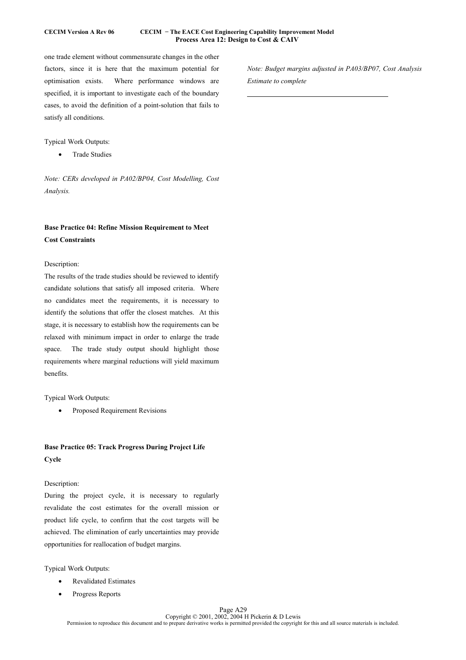# **CECIM Version A Rev 06 CECIM − The EACE Cost Engineering Capability Improvement Model Process Area 12: Design to Cost & CAIV**

 $\overline{a}$ 

one trade element without commensurate changes in the other factors, since it is here that the maximum potential for optimisation exists. Where performance windows are specified, it is important to investigate each of the boundary cases, to avoid the definition of a point-solution that fails to satisfy all conditions.

# Typical Work Outputs:

• Trade Studies

*Note: CERs developed in PA02/BP04, Cost Modelling, Cost Analysis.* 

# **Base Practice 04: Refine Mission Requirement to Meet Cost Constraints**

# Description:

The results of the trade studies should be reviewed to identify candidate solutions that satisfy all imposed criteria. Where no candidates meet the requirements, it is necessary to identify the solutions that offer the closest matches. At this stage, it is necessary to establish how the requirements can be relaxed with minimum impact in order to enlarge the trade space. The trade study output should highlight those requirements where marginal reductions will yield maximum benefits.

# Typical Work Outputs:

• Proposed Requirement Revisions

# **Base Practice 05: Track Progress During Project Life Cycle**

# Description:

During the project cycle, it is necessary to regularly revalidate the cost estimates for the overall mission or product life cycle, to confirm that the cost targets will be achieved. The elimination of early uncertainties may provide opportunities for reallocation of budget margins.

Typical Work Outputs:

- Revalidated Estimates
- Progress Reports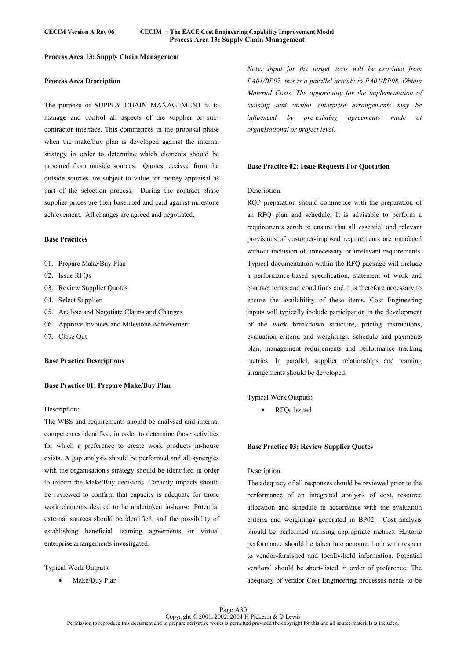# **Process Area 13: Supply Chain Management**

# **Process Area Description**

The purpose of SUPPLY CHAIN MANAGEMENT is to manage and control all aspects of the supplier or subcontractor interface. This commences in the proposal phase when the make/buy plan is developed against the internal strategy in order to determine which elements should be procured from outside sources. Quotes received from the outside sources are subject to value for money appraisal as part of the selection process. During the contract phase supplier prices are then baselined and paid against milestone achievement. All changes are agreed and negotiated.

### **Base Practices**

- 01. Prepare Make/Buy Plan
- 02. Issue RFQs
- 03. Review Supplier Quotes
- 04. Select Supplier
- 05. Analyse and Negotiate Claims and Changes
- 06. Approve Invoices and Milestone Achievement
- 07. Close Out

### **Base Practice Descriptions**

# **Base Practice 01: Prepare Make/Buy Plan**

# Description:

The WBS and requirements should be analysed and internal competences identified, in order to determine those activities for which a preference to create work products in-house exists. A gap analysis should be performed and all synergies with the organisation's strategy should be identified in order to inform the Make/Buy decisions. Capacity impacts should be reviewed to confirm that capacity is adequate for those work elements desired to be undertaken in-house. Potential external sources should be identified, and the possibility of establishing beneficial teaming agreements or virtual enterprise arrangements investigated.

Typical Work Outputs:

• Make/Buy Plan

*Note: Input for the target costs will be provided from PA01/BP07, this is a parallel activity to PA01/BP08, Obtain Material Costs. The opportunity for the implementation of teaming and virtual enterprise arrangements may be influenced by pre-existing agreements made at organisational or project level.* 

#### **Base Practice 02: Issue Requests For Quotation**

### Description:

RQP preparation should commence with the preparation of an RFQ plan and schedule. It is advisable to perform a requirements scrub to ensure that all essential and relevant provisions of customer-imposed requirements are mandated without inclusion of unnecessary or irrelevant requirements. Typical documentation within the RFQ package will include a performance-based specification, statement of work and contract terms and conditions and it is therefore necessary to ensure the availability of these items. Cost Engineering inputs will typically include participation in the development of the work breakdown structure, pricing instructions, evaluation criteria and weightings, schedule and payments plan, management requirements and performance tracking metrics. In parallel, supplier relationships and teaming arrangements should be developed.

Typical Work Outputs:

• RFQs Issued

### **Base Practice 03: Review Supplier Quotes**

# Description:

The adequacy of all responses should be reviewed prior to the performance of an integrated analysis of cost, resource allocation and schedule in accordance with the evaluation criteria and weightings generated in BP02. Cost analysis should be performed utilising appropriate metrics. Historic performance should be taken into account, both with respect to vendor-furnished and locally-held information. Potential vendors' should be short-listed in order of preference. The adequacy of vendor Cost Engineering processes needs to be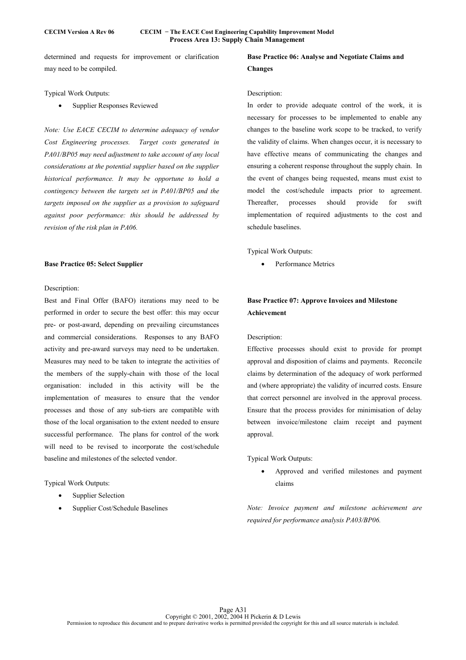determined and requests for improvement or clarification may need to be compiled.

Typical Work Outputs:

Supplier Responses Reviewed

*Note: Use EACE CECIM to determine adequacy of vendor Cost Engineering processes. Target costs generated in PA01/BP05 may need adjustment to take account of any local considerations at the potential supplier based on the supplier historical performance. It may be opportune to hold a contingency between the targets set in PA01/BP05 and the targets imposed on the supplier as a provision to safeguard against poor performance: this should be addressed by revision of the risk plan in PA06.* 

# **Base Practice 05: Select Supplier**

# Description:

Best and Final Offer (BAFO) iterations may need to be performed in order to secure the best offer: this may occur pre- or post-award, depending on prevailing circumstances and commercial considerations. Responses to any BAFO activity and pre-award surveys may need to be undertaken. Measures may need to be taken to integrate the activities of the members of the supply-chain with those of the local organisation: included in this activity will be the implementation of measures to ensure that the vendor processes and those of any sub-tiers are compatible with those of the local organisation to the extent needed to ensure successful performance. The plans for control of the work will need to be revised to incorporate the cost/schedule baseline and milestones of the selected vendor.

Typical Work Outputs:

- Supplier Selection
- Supplier Cost/Schedule Baselines

# **Base Practice 06: Analyse and Negotiate Claims and Changes**

### Description:

In order to provide adequate control of the work, it is necessary for processes to be implemented to enable any changes to the baseline work scope to be tracked, to verify the validity of claims. When changes occur, it is necessary to have effective means of communicating the changes and ensuring a coherent response throughout the supply chain. In the event of changes being requested, means must exist to model the cost/schedule impacts prior to agreement. Thereafter, processes should provide for swift implementation of required adjustments to the cost and schedule baselines.

Typical Work Outputs:

Performance Metrics

# **Base Practice 07: Approve Invoices and Milestone Achievement**

### Description:

Effective processes should exist to provide for prompt approval and disposition of claims and payments. Reconcile claims by determination of the adequacy of work performed and (where appropriate) the validity of incurred costs. Ensure that correct personnel are involved in the approval process. Ensure that the process provides for minimisation of delay between invoice/milestone claim receipt and payment approval.

Typical Work Outputs:

• Approved and verified milestones and payment claims

*Note: Invoice payment and milestone achievement are required for performance analysis PA03/BP06.*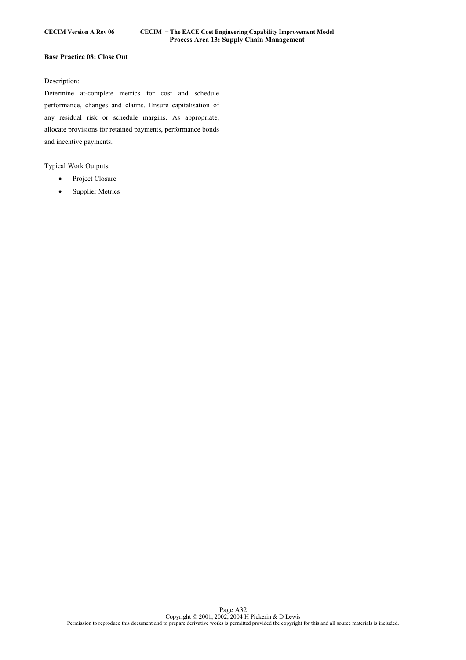# **Base Practice 08: Close Out**

# Description:

Determine at-complete metrics for cost and schedule performance, changes and claims. Ensure capitalisation of any residual risk or schedule margins. As appropriate, allocate provisions for retained payments, performance bonds and incentive payments.

Typical Work Outputs:

- Project Closure
- Supplier Metrics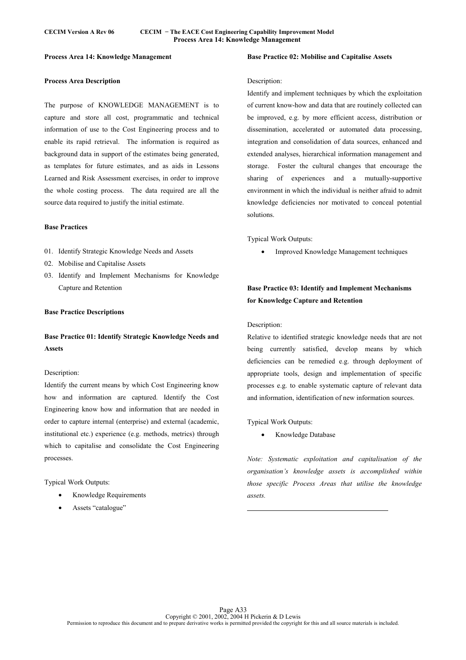# **Process Area 14: Knowledge Management**

# **Process Area Description**

The purpose of KNOWLEDGE MANAGEMENT is to capture and store all cost, programmatic and technical information of use to the Cost Engineering process and to enable its rapid retrieval. The information is required as background data in support of the estimates being generated, as templates for future estimates, and as aids in Lessons Learned and Risk Assessment exercises, in order to improve the whole costing process. The data required are all the source data required to justify the initial estimate.

### **Base Practices**

- 01. Identify Strategic Knowledge Needs and Assets
- 02. Mobilise and Capitalise Assets
- 03. Identify and Implement Mechanisms for Knowledge Capture and Retention

### **Base Practice Descriptions**

**Base Practice 01: Identify Strategic Knowledge Needs and Assets** 

### Description:

Identify the current means by which Cost Engineering know how and information are captured. Identify the Cost Engineering know how and information that are needed in order to capture internal (enterprise) and external (academic, institutional etc.) experience (e.g. methods, metrics) through which to capitalise and consolidate the Cost Engineering processes.

Typical Work Outputs:

- Knowledge Requirements
- Assets "catalogue"

# Description:

Identify and implement techniques by which the exploitation of current know-how and data that are routinely collected can be improved, e.g. by more efficient access, distribution or dissemination, accelerated or automated data processing, integration and consolidation of data sources, enhanced and extended analyses, hierarchical information management and storage. Foster the cultural changes that encourage the sharing of experiences and a mutually-supportive environment in which the individual is neither afraid to admit knowledge deficiencies nor motivated to conceal potential solutions.

**Base Practice 02: Mobilise and Capitalise Assets** 

Typical Work Outputs:

• Improved Knowledge Management techniques

# **Base Practice 03: Identify and Implement Mechanisms for Knowledge Capture and Retention**

#### Description:

Relative to identified strategic knowledge needs that are not being currently satisfied, develop means by which deficiencies can be remedied e.g. through deployment of appropriate tools, design and implementation of specific processes e.g. to enable systematic capture of relevant data and information, identification of new information sources.

Typical Work Outputs:

• Knowledge Database

*Note: Systematic exploitation and capitalisation of the organisation's knowledge assets is accomplished within those specific Process Areas that utilise the knowledge assets.*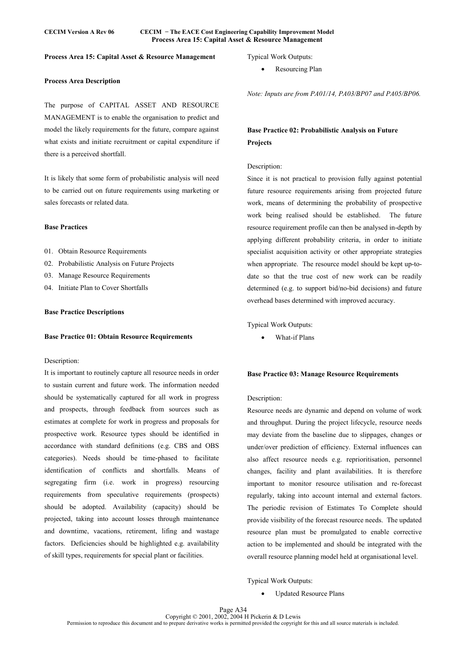### **CECIM Version A Rev 06 CECIM − The EACE Cost Engineering Capability Improvement Model Process Area 15: Capital Asset & Resource Management**

### **Process Area 15: Capital Asset & Resource Management**

# **Process Area Description**

The purpose of CAPITAL ASSET AND RESOURCE MANAGEMENT is to enable the organisation to predict and model the likely requirements for the future, compare against what exists and initiate recruitment or capital expenditure if there is a perceived shortfall.

It is likely that some form of probabilistic analysis will need to be carried out on future requirements using marketing or sales forecasts or related data.

### **Base Practices**

- 01. Obtain Resource Requirements
- 02. Probabilistic Analysis on Future Projects
- 03. Manage Resource Requirements
- 04. Initiate Plan to Cover Shortfalls

### **Base Practice Descriptions**

#### **Base Practice 01: Obtain Resource Requirements**

### Description:

It is important to routinely capture all resource needs in order to sustain current and future work. The information needed should be systematically captured for all work in progress and prospects, through feedback from sources such as estimates at complete for work in progress and proposals for prospective work. Resource types should be identified in accordance with standard definitions (e.g. CBS and OBS categories). Needs should be time-phased to facilitate identification of conflicts and shortfalls. Means of segregating firm (i.e. work in progress) resourcing requirements from speculative requirements (prospects) should be adopted. Availability (capacity) should be projected, taking into account losses through maintenance and downtime, vacations, retirement, lifing and wastage factors. Deficiencies should be highlighted e.g. availability of skill types, requirements for special plant or facilities.

Typical Work Outputs:

Resourcing Plan

*Note: Inputs are from PA01/14, PA03/BP07 and PA05/BP06.* 

# **Base Practice 02: Probabilistic Analysis on Future Projects**

### Description:

Since it is not practical to provision fully against potential future resource requirements arising from projected future work, means of determining the probability of prospective work being realised should be established. The future resource requirement profile can then be analysed in-depth by applying different probability criteria, in order to initiate specialist acquisition activity or other appropriate strategies when appropriate. The resource model should be kept up-todate so that the true cost of new work can be readily determined (e.g. to support bid/no-bid decisions) and future overhead bases determined with improved accuracy.

Typical Work Outputs:

• What-if Plans

### **Base Practice 03: Manage Resource Requirements**

# Description:

Resource needs are dynamic and depend on volume of work and throughput. During the project lifecycle, resource needs may deviate from the baseline due to slippages, changes or under/over prediction of efficiency. External influences can also affect resource needs e.g. reprioritisation, personnel changes, facility and plant availabilities. It is therefore important to monitor resource utilisation and re-forecast regularly, taking into account internal and external factors. The periodic revision of Estimates To Complete should provide visibility of the forecast resource needs. The updated resource plan must be promulgated to enable corrective action to be implemented and should be integrated with the overall resource planning model held at organisational level.

Typical Work Outputs:

• Updated Resource Plans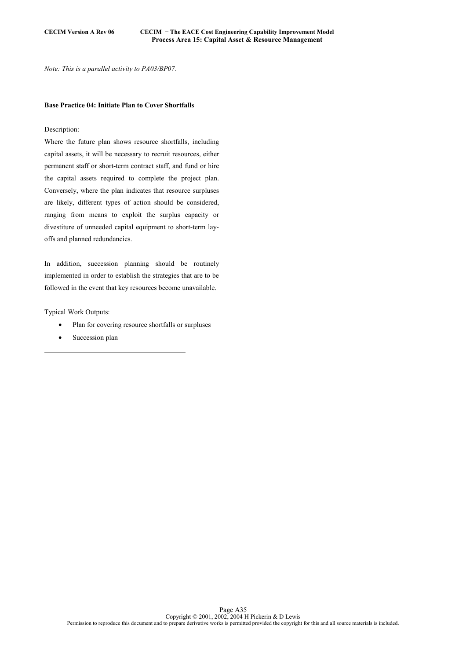*Note: This is a parallel activity to PA03/BP07.* 

### **Base Practice 04: Initiate Plan to Cover Shortfalls**

# Description:

Where the future plan shows resource shortfalls, including capital assets, it will be necessary to recruit resources, either permanent staff or short-term contract staff, and fund or hire the capital assets required to complete the project plan. Conversely, where the plan indicates that resource surpluses are likely, different types of action should be considered, ranging from means to exploit the surplus capacity or divestiture of unneeded capital equipment to short-term layoffs and planned redundancies.

In addition, succession planning should be routinely implemented in order to establish the strategies that are to be followed in the event that key resources become unavailable.

Typical Work Outputs:

- Plan for covering resource shortfalls or surpluses
- Succession plan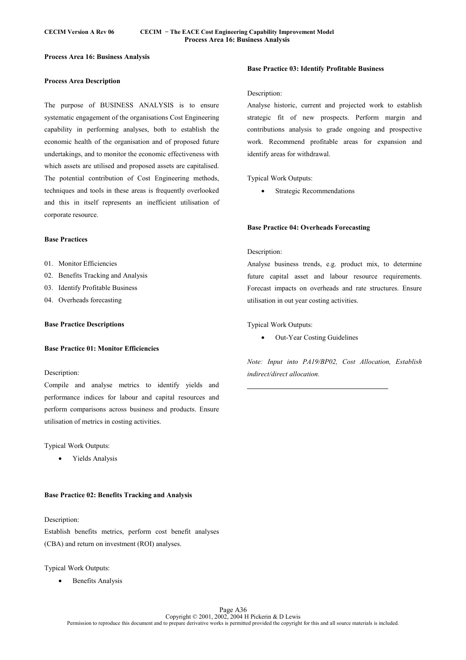# **Process Area 16: Business Analysis**

### **Process Area Description**

The purpose of BUSINESS ANALYSIS is to ensure systematic engagement of the organisations Cost Engineering capability in performing analyses, both to establish the economic health of the organisation and of proposed future undertakings, and to monitor the economic effectiveness with which assets are utilised and proposed assets are capitalised. The potential contribution of Cost Engineering methods, techniques and tools in these areas is frequently overlooked and this in itself represents an inefficient utilisation of corporate resource.

### **Base Practices**

- 01. Monitor Efficiencies
- 02. Benefits Tracking and Analysis
- 03. Identify Profitable Business
- 04. Overheads forecasting

### **Base Practice Descriptions**

# **Base Practice 01: Monitor Efficiencies**

### Description:

Compile and analyse metrics to identify yields and performance indices for labour and capital resources and perform comparisons across business and products. Ensure utilisation of metrics in costing activities.

### Typical Work Outputs:

• Yields Analysis

### **Base Practice 02: Benefits Tracking and Analysis**

### Description:

Establish benefits metrics, perform cost benefit analyses (CBA) and return on investment (ROI) analyses.

#### Typical Work Outputs:

Benefits Analysis

### **Base Practice 03: Identify Profitable Business**

### Description:

Analyse historic, current and projected work to establish strategic fit of new prospects. Perform margin and contributions analysis to grade ongoing and prospective work. Recommend profitable areas for expansion and identify areas for withdrawal.

### Typical Work Outputs:

Strategic Recommendations

### **Base Practice 04: Overheads Forecasting**

### Description:

 $\overline{a}$ 

Analyse business trends, e.g. product mix, to determine future capital asset and labour resource requirements. Forecast impacts on overheads and rate structures. Ensure utilisation in out year costing activities.

### Typical Work Outputs:

• Out-Year Costing Guidelines

*Note: Input into PA19/BP02, Cost Allocation, Establish indirect/direct allocation.*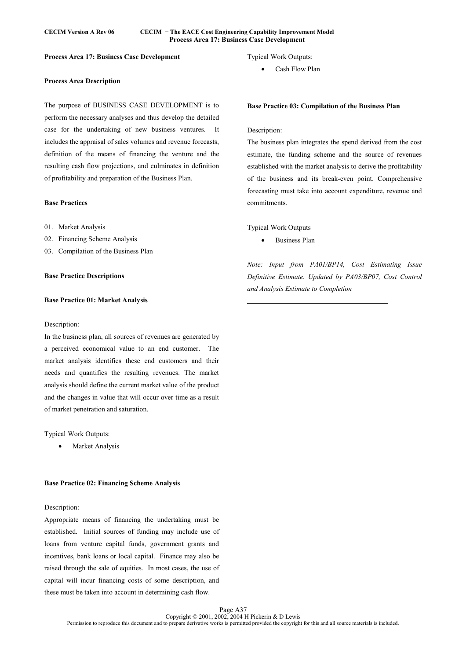### **CECIM Version A Rev 06 CECIM − The EACE Cost Engineering Capability Improvement Model Process Area 17: Business Case Development**

### **Process Area 17: Business Case Development**

### **Process Area Description**

The purpose of BUSINESS CASE DEVELOPMENT is to perform the necessary analyses and thus develop the detailed case for the undertaking of new business ventures. It includes the appraisal of sales volumes and revenue forecasts, definition of the means of financing the venture and the resulting cash flow projections, and culminates in definition of profitability and preparation of the Business Plan.

# **Base Practices**

- 01. Market Analysis
- 02. Financing Scheme Analysis
- 03. Compilation of the Business Plan

### **Base Practice Descriptions**

#### **Base Practice 01: Market Analysis**

#### Description:

In the business plan, all sources of revenues are generated by a perceived economical value to an end customer. The market analysis identifies these end customers and their needs and quantifies the resulting revenues. The market analysis should define the current market value of the product and the changes in value that will occur over time as a result of market penetration and saturation.

### Typical Work Outputs:

**Market Analysis** 

### **Base Practice 02: Financing Scheme Analysis**

### Description:

Appropriate means of financing the undertaking must be established. Initial sources of funding may include use of loans from venture capital funds, government grants and incentives, bank loans or local capital. Finance may also be raised through the sale of equities. In most cases, the use of capital will incur financing costs of some description, and these must be taken into account in determining cash flow.

# Typical Work Outputs:

• Cash Flow Plan

# **Base Practice 03: Compilation of the Business Plan**

### Description:

The business plan integrates the spend derived from the cost estimate, the funding scheme and the source of revenues established with the market analysis to derive the profitability of the business and its break-even point. Comprehensive forecasting must take into account expenditure, revenue and commitments.

### Typical Work Outputs

 $\overline{a}$ 

• Business Plan

*Note: Input from PA01/BP14, Cost Estimating Issue Definitive Estimate. Updated by PA03/BP07, Cost Control and Analysis Estimate to Completion*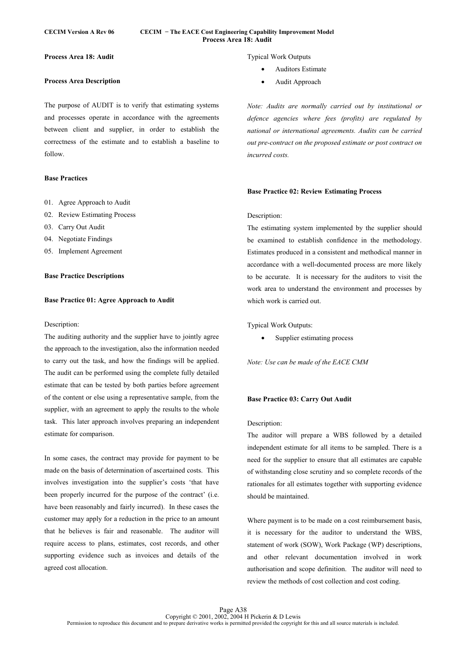### **CECIM Version A Rev 06 CECIM − The EACE Cost Engineering Capability Improvement Model Process Area 18: Audit**

**Process Area 18: Audit** 

# **Process Area Description**

The purpose of AUDIT is to verify that estimating systems and processes operate in accordance with the agreements between client and supplier, in order to establish the correctness of the estimate and to establish a baseline to follow.

# **Base Practices**

- 01. Agree Approach to Audit
- 02. Review Estimating Process
- 03. Carry Out Audit
- 04. Negotiate Findings
- 05. Implement Agreement

### **Base Practice Descriptions**

### **Base Practice 01: Agree Approach to Audit**

### Description:

The auditing authority and the supplier have to jointly agree the approach to the investigation, also the information needed to carry out the task, and how the findings will be applied. The audit can be performed using the complete fully detailed estimate that can be tested by both parties before agreement of the content or else using a representative sample, from the supplier, with an agreement to apply the results to the whole task. This later approach involves preparing an independent estimate for comparison.

In some cases, the contract may provide for payment to be made on the basis of determination of ascertained costs. This involves investigation into the supplier's costs 'that have been properly incurred for the purpose of the contract' (i.e. have been reasonably and fairly incurred). In these cases the customer may apply for a reduction in the price to an amount that he believes is fair and reasonable. The auditor will require access to plans, estimates, cost records, and other supporting evidence such as invoices and details of the agreed cost allocation.

Typical Work Outputs

- Auditors Estimate
- Audit Approach

*Note: Audits are normally carried out by institutional or defence agencies where fees (profits) are regulated by national or international agreements. Audits can be carried out pre-contract on the proposed estimate or post contract on incurred costs.* 

### **Base Practice 02: Review Estimating Process**

#### Description:

The estimating system implemented by the supplier should be examined to establish confidence in the methodology. Estimates produced in a consistent and methodical manner in accordance with a well-documented process are more likely to be accurate. It is necessary for the auditors to visit the work area to understand the environment and processes by which work is carried out.

Typical Work Outputs:

• Supplier estimating process

*Note: Use can be made of the EACE CMM* 

### **Base Practice 03: Carry Out Audit**

### Description:

The auditor will prepare a WBS followed by a detailed independent estimate for all items to be sampled. There is a need for the supplier to ensure that all estimates are capable of withstanding close scrutiny and so complete records of the rationales for all estimates together with supporting evidence should be maintained.

Where payment is to be made on a cost reimbursement basis, it is necessary for the auditor to understand the WBS, statement of work (SOW), Work Package (WP) descriptions, and other relevant documentation involved in work authorisation and scope definition. The auditor will need to review the methods of cost collection and cost coding.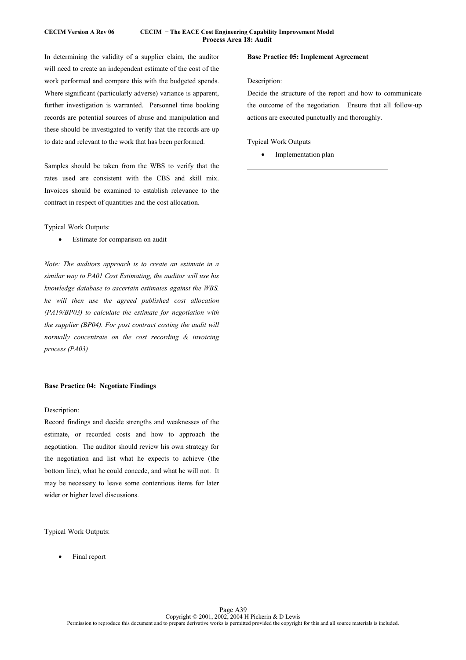# **CECIM Version A Rev 06 CECIM − The EACE Cost Engineering Capability Improvement Model Process Area 18: Audit**

In determining the validity of a supplier claim, the auditor will need to create an independent estimate of the cost of the work performed and compare this with the budgeted spends. Where significant (particularly adverse) variance is apparent, further investigation is warranted. Personnel time booking records are potential sources of abuse and manipulation and these should be investigated to verify that the records are up to date and relevant to the work that has been performed.

Samples should be taken from the WBS to verify that the rates used are consistent with the CBS and skill mix. Invoices should be examined to establish relevance to the contract in respect of quantities and the cost allocation.

Typical Work Outputs:

Estimate for comparison on audit

*Note: The auditors approach is to create an estimate in a similar way to PA01 Cost Estimating, the auditor will use his knowledge database to ascertain estimates against the WBS, he will then use the agreed published cost allocation (PA19/BP03) to calculate the estimate for negotiation with the supplier (BP04). For post contract costing the audit will normally concentrate on the cost recording & invoicing process (PA03)* 

# **Base Practice 04: Negotiate Findings**

# Description:

Record findings and decide strengths and weaknesses of the estimate, or recorded costs and how to approach the negotiation. The auditor should review his own strategy for the negotiation and list what he expects to achieve (the bottom line), what he could concede, and what he will not. It may be necessary to leave some contentious items for later wider or higher level discussions.

Typical Work Outputs:

• Final report

# **Base Practice 05: Implement Agreement**

# Description:

 $\overline{a}$ 

Decide the structure of the report and how to communicate the outcome of the negotiation. Ensure that all follow-up actions are executed punctually and thoroughly.

Typical Work Outputs

Implementation plan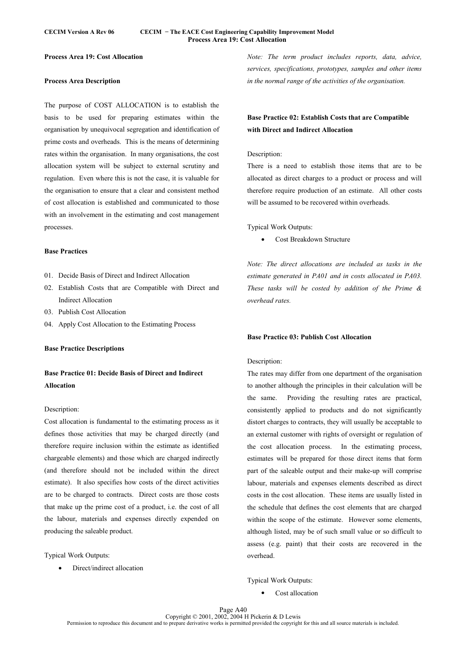### **CECIM Version A Rev 06 CECIM − The EACE Cost Engineering Capability Improvement Model Process Area 19: Cost Allocation**

### **Process Area 19: Cost Allocation**

### **Process Area Description**

The purpose of COST ALLOCATION is to establish the basis to be used for preparing estimates within the organisation by unequivocal segregation and identification of prime costs and overheads. This is the means of determining rates within the organisation. In many organisations, the cost allocation system will be subject to external scrutiny and regulation. Even where this is not the case, it is valuable for the organisation to ensure that a clear and consistent method of cost allocation is established and communicated to those with an involvement in the estimating and cost management processes.

### **Base Practices**

- 01. Decide Basis of Direct and Indirect Allocation
- 02. Establish Costs that are Compatible with Direct and Indirect Allocation
- 03. Publish Cost Allocation
- 04. Apply Cost Allocation to the Estimating Process

### **Base Practice Descriptions**

# **Base Practice 01: Decide Basis of Direct and Indirect Allocation**

# Description:

Cost allocation is fundamental to the estimating process as it defines those activities that may be charged directly (and therefore require inclusion within the estimate as identified chargeable elements) and those which are charged indirectly (and therefore should not be included within the direct estimate). It also specifies how costs of the direct activities are to be charged to contracts. Direct costs are those costs that make up the prime cost of a product, i.e. the cost of all the labour, materials and expenses directly expended on producing the saleable product.

Typical Work Outputs:

• Direct/indirect allocation

*Note: The term product includes reports, data, advice, services, specifications, prototypes, samples and other items in the normal range of the activities of the organisation.* 

# **Base Practice 02: Establish Costs that are Compatible with Direct and Indirect Allocation**

# Description:

There is a need to establish those items that are to be allocated as direct charges to a product or process and will therefore require production of an estimate. All other costs will be assumed to be recovered within overheads.

Typical Work Outputs:

Cost Breakdown Structure

*Note: The direct allocations are included as tasks in the estimate generated in PA01 and in costs allocated in PA03. These tasks will be costed by addition of the Prime & overhead rates.* 

### **Base Practice 03: Publish Cost Allocation**

### Description:

The rates may differ from one department of the organisation to another although the principles in their calculation will be the same. Providing the resulting rates are practical, consistently applied to products and do not significantly distort charges to contracts, they will usually be acceptable to an external customer with rights of oversight or regulation of the cost allocation process. In the estimating process, estimates will be prepared for those direct items that form part of the saleable output and their make-up will comprise labour, materials and expenses elements described as direct costs in the cost allocation. These items are usually listed in the schedule that defines the cost elements that are charged within the scope of the estimate. However some elements, although listed, may be of such small value or so difficult to assess (e.g. paint) that their costs are recovered in the overhead.

Typical Work Outputs:

Cost allocation